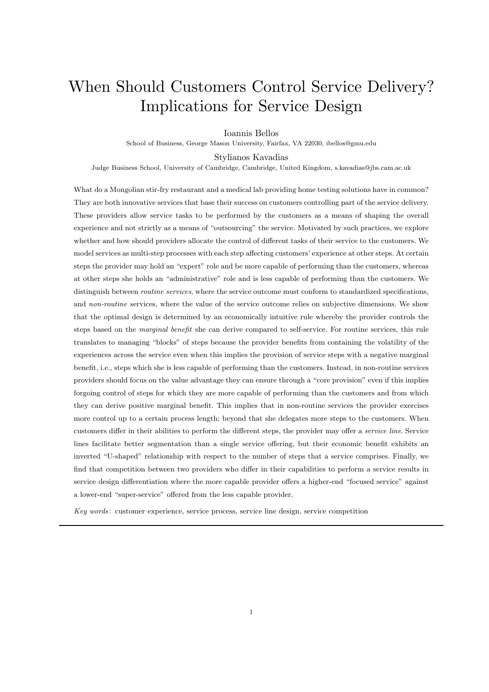# When Should Customers Control Service Delivery? Implications for Service Design

#### Ioannis Bellos

School of Business, George Mason University, Fairfax, VA 22030, ibellos@gmu.edu

### Stylianos Kavadias

Judge Business School, University of Cambridge, Cambridge, United Kingdom, s.kavadias@jbs.cam.ac.uk

What do a Mongolian stir-fry restaurant and a medical lab providing home testing solutions have in common? They are both innovative services that base their success on customers controlling part of the service delivery. These providers allow service tasks to be performed by the customers as a means of shaping the overall experience and not strictly as a means of "outsourcing" the service. Motivated by such practices, we explore whether and how should providers allocate the control of different tasks of their service to the customers. We model services as multi-step processes with each step affecting customers' experience at other steps. At certain steps the provider may hold an "expert" role and be more capable of performing than the customers, whereas at other steps she holds an "administrative" role and is less capable of performing than the customers. We distinguish between *routine services*, where the service outcome must conform to standardized specifications, and non-routine services, where the value of the service outcome relies on subjective dimensions. We show that the optimal design is determined by an economically intuitive rule whereby the provider controls the steps based on the *marginal benefit* she can derive compared to self-service. For routine services, this rule translates to managing "blocks" of steps because the provider benefits from containing the volatility of the experiences across the service even when this implies the provision of service steps with a negative marginal benefit, i.e., steps which she is less capable of performing than the customers. Instead, in non-routine services providers should focus on the value advantage they can ensure through a "core provision" even if this implies forgoing control of steps for which they are more capable of performing than the customers and from which they can derive positive marginal benefit. This implies that in non-routine services the provider exercises more control up to a certain process length; beyond that she delegates more steps to the customers. When customers differ in their abilities to perform the different steps, the provider may offer a service line. Service lines facilitate better segmentation than a single service offering, but their economic benefit exhibits an inverted "U-shaped" relationship with respect to the number of steps that a service comprises. Finally, we find that competition between two providers who differ in their capabilities to perform a service results in service design differentiation where the more capable provider offers a higher-end "focused service" against a lower-end "super-service" offered from the less capable provider.

Key words : customer experience, service process, service line design, service competition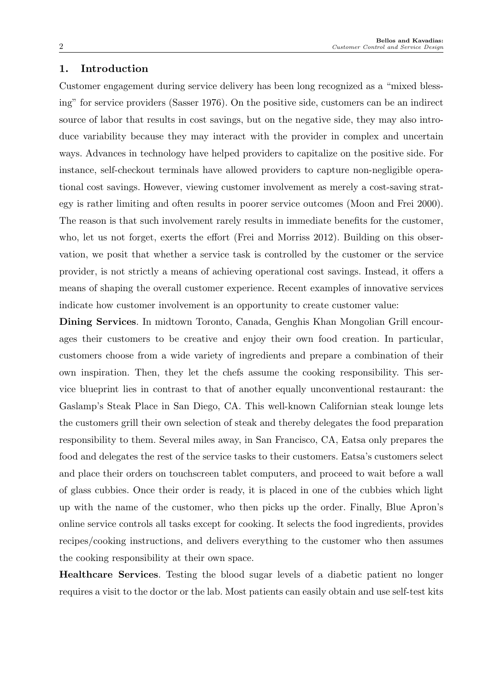# 1. Introduction

Customer engagement during service delivery has been long recognized as a "mixed blessing" for service providers (Sasser 1976). On the positive side, customers can be an indirect source of labor that results in cost savings, but on the negative side, they may also introduce variability because they may interact with the provider in complex and uncertain ways. Advances in technology have helped providers to capitalize on the positive side. For instance, self-checkout terminals have allowed providers to capture non-negligible operational cost savings. However, viewing customer involvement as merely a cost-saving strategy is rather limiting and often results in poorer service outcomes (Moon and Frei 2000). The reason is that such involvement rarely results in immediate benefits for the customer, who, let us not forget, exerts the effort (Frei and Morriss 2012). Building on this observation, we posit that whether a service task is controlled by the customer or the service provider, is not strictly a means of achieving operational cost savings. Instead, it offers a means of shaping the overall customer experience. Recent examples of innovative services indicate how customer involvement is an opportunity to create customer value:

Dining Services. In midtown Toronto, Canada, Genghis Khan Mongolian Grill encourages their customers to be creative and enjoy their own food creation. In particular, customers choose from a wide variety of ingredients and prepare a combination of their own inspiration. Then, they let the chefs assume the cooking responsibility. This service blueprint lies in contrast to that of another equally unconventional restaurant: the Gaslamp's Steak Place in San Diego, CA. This well-known Californian steak lounge lets the customers grill their own selection of steak and thereby delegates the food preparation responsibility to them. Several miles away, in San Francisco, CA, Eatsa only prepares the food and delegates the rest of the service tasks to their customers. Eatsa's customers select and place their orders on touchscreen tablet computers, and proceed to wait before a wall of glass cubbies. Once their order is ready, it is placed in one of the cubbies which light up with the name of the customer, who then picks up the order. Finally, Blue Apron's online service controls all tasks except for cooking. It selects the food ingredients, provides recipes/cooking instructions, and delivers everything to the customer who then assumes the cooking responsibility at their own space.

Healthcare Services. Testing the blood sugar levels of a diabetic patient no longer requires a visit to the doctor or the lab. Most patients can easily obtain and use self-test kits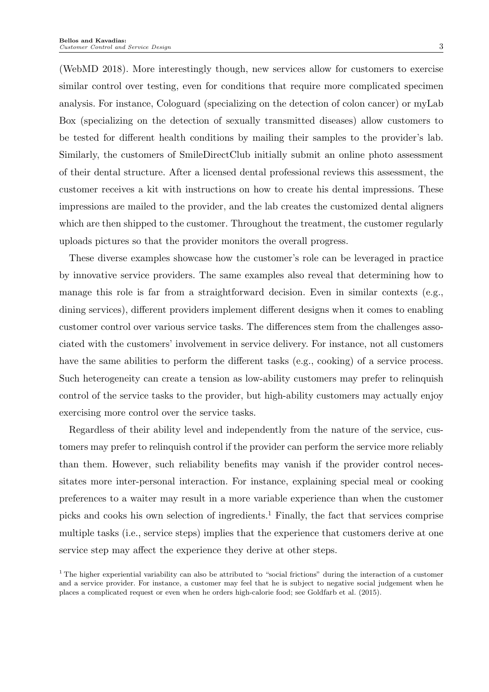(WebMD 2018). More interestingly though, new services allow for customers to exercise similar control over testing, even for conditions that require more complicated specimen analysis. For instance, Cologuard (specializing on the detection of colon cancer) or myLab Box (specializing on the detection of sexually transmitted diseases) allow customers to be tested for different health conditions by mailing their samples to the provider's lab. Similarly, the customers of SmileDirectClub initially submit an online photo assessment of their dental structure. After a licensed dental professional reviews this assessment, the customer receives a kit with instructions on how to create his dental impressions. These impressions are mailed to the provider, and the lab creates the customized dental aligners which are then shipped to the customer. Throughout the treatment, the customer regularly uploads pictures so that the provider monitors the overall progress.

These diverse examples showcase how the customer's role can be leveraged in practice by innovative service providers. The same examples also reveal that determining how to manage this role is far from a straightforward decision. Even in similar contexts (e.g., dining services), different providers implement different designs when it comes to enabling customer control over various service tasks. The differences stem from the challenges associated with the customers' involvement in service delivery. For instance, not all customers have the same abilities to perform the different tasks (e.g., cooking) of a service process. Such heterogeneity can create a tension as low-ability customers may prefer to relinquish control of the service tasks to the provider, but high-ability customers may actually enjoy exercising more control over the service tasks.

Regardless of their ability level and independently from the nature of the service, customers may prefer to relinquish control if the provider can perform the service more reliably than them. However, such reliability benefits may vanish if the provider control necessitates more inter-personal interaction. For instance, explaining special meal or cooking preferences to a waiter may result in a more variable experience than when the customer picks and cooks his own selection of ingredients.<sup>1</sup> Finally, the fact that services comprise multiple tasks (i.e., service steps) implies that the experience that customers derive at one service step may affect the experience they derive at other steps.

<sup>&</sup>lt;sup>1</sup> The higher experiential variability can also be attributed to "social frictions" during the interaction of a customer and a service provider. For instance, a customer may feel that he is subject to negative social judgement when he places a complicated request or even when he orders high-calorie food; see Goldfarb et al. (2015).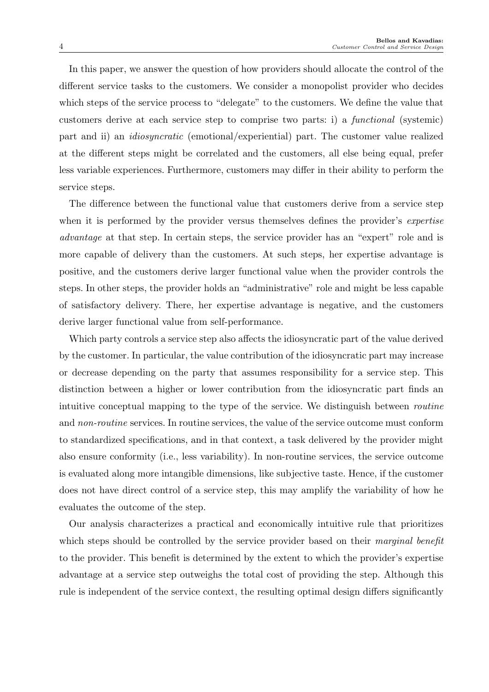In this paper, we answer the question of how providers should allocate the control of the different service tasks to the customers. We consider a monopolist provider who decides which steps of the service process to "delegate" to the customers. We define the value that customers derive at each service step to comprise two parts: i) a functional (systemic) part and ii) an idiosyncratic (emotional/experiential) part. The customer value realized at the different steps might be correlated and the customers, all else being equal, prefer less variable experiences. Furthermore, customers may differ in their ability to perform the service steps.

The difference between the functional value that customers derive from a service step when it is performed by the provider versus themselves defines the provider's *expertise* advantage at that step. In certain steps, the service provider has an "expert" role and is more capable of delivery than the customers. At such steps, her expertise advantage is positive, and the customers derive larger functional value when the provider controls the steps. In other steps, the provider holds an "administrative" role and might be less capable of satisfactory delivery. There, her expertise advantage is negative, and the customers derive larger functional value from self-performance.

Which party controls a service step also affects the idiosyncratic part of the value derived by the customer. In particular, the value contribution of the idiosyncratic part may increase or decrease depending on the party that assumes responsibility for a service step. This distinction between a higher or lower contribution from the idiosyncratic part finds an intuitive conceptual mapping to the type of the service. We distinguish between routine and non-routine services. In routine services, the value of the service outcome must conform to standardized specifications, and in that context, a task delivered by the provider might also ensure conformity (i.e., less variability). In non-routine services, the service outcome is evaluated along more intangible dimensions, like subjective taste. Hence, if the customer does not have direct control of a service step, this may amplify the variability of how he evaluates the outcome of the step.

Our analysis characterizes a practical and economically intuitive rule that prioritizes which steps should be controlled by the service provider based on their *marginal benefit* to the provider. This benefit is determined by the extent to which the provider's expertise advantage at a service step outweighs the total cost of providing the step. Although this rule is independent of the service context, the resulting optimal design differs significantly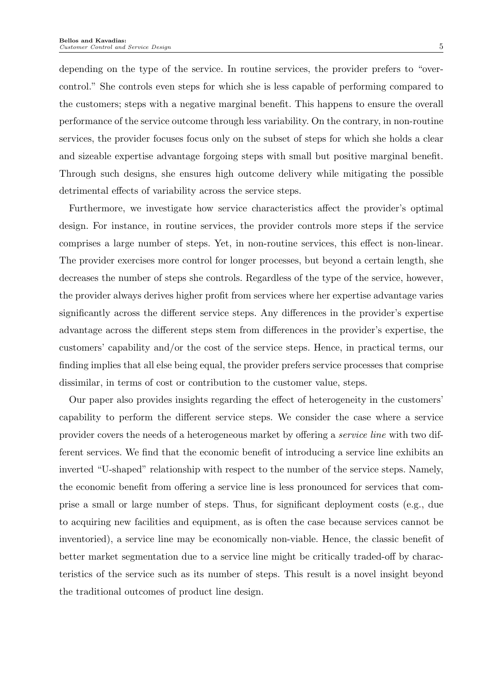depending on the type of the service. In routine services, the provider prefers to "overcontrol." She controls even steps for which she is less capable of performing compared to the customers; steps with a negative marginal benefit. This happens to ensure the overall performance of the service outcome through less variability. On the contrary, in non-routine services, the provider focuses focus only on the subset of steps for which she holds a clear

and sizeable expertise advantage forgoing steps with small but positive marginal benefit. Through such designs, she ensures high outcome delivery while mitigating the possible detrimental effects of variability across the service steps.

Furthermore, we investigate how service characteristics affect the provider's optimal design. For instance, in routine services, the provider controls more steps if the service comprises a large number of steps. Yet, in non-routine services, this effect is non-linear. The provider exercises more control for longer processes, but beyond a certain length, she decreases the number of steps she controls. Regardless of the type of the service, however, the provider always derives higher profit from services where her expertise advantage varies significantly across the different service steps. Any differences in the provider's expertise advantage across the different steps stem from differences in the provider's expertise, the customers' capability and/or the cost of the service steps. Hence, in practical terms, our finding implies that all else being equal, the provider prefers service processes that comprise dissimilar, in terms of cost or contribution to the customer value, steps.

Our paper also provides insights regarding the effect of heterogeneity in the customers' capability to perform the different service steps. We consider the case where a service provider covers the needs of a heterogeneous market by offering a service line with two different services. We find that the economic benefit of introducing a service line exhibits an inverted "U-shaped" relationship with respect to the number of the service steps. Namely, the economic benefit from offering a service line is less pronounced for services that comprise a small or large number of steps. Thus, for significant deployment costs (e.g., due to acquiring new facilities and equipment, as is often the case because services cannot be inventoried), a service line may be economically non-viable. Hence, the classic benefit of better market segmentation due to a service line might be critically traded-off by characteristics of the service such as its number of steps. This result is a novel insight beyond the traditional outcomes of product line design.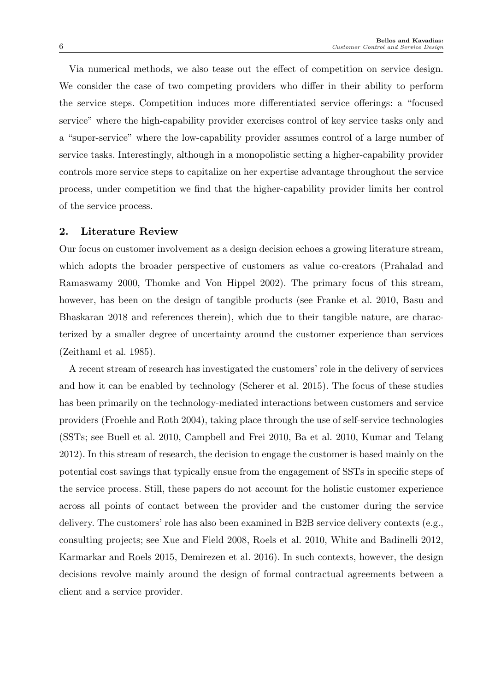Via numerical methods, we also tease out the effect of competition on service design. We consider the case of two competing providers who differ in their ability to perform the service steps. Competition induces more differentiated service offerings: a "focused service" where the high-capability provider exercises control of key service tasks only and a "super-service" where the low-capability provider assumes control of a large number of service tasks. Interestingly, although in a monopolistic setting a higher-capability provider controls more service steps to capitalize on her expertise advantage throughout the service process, under competition we find that the higher-capability provider limits her control of the service process.

# 2. Literature Review

Our focus on customer involvement as a design decision echoes a growing literature stream, which adopts the broader perspective of customers as value co-creators (Prahalad and Ramaswamy 2000, Thomke and Von Hippel 2002). The primary focus of this stream, however, has been on the design of tangible products (see Franke et al. 2010, Basu and Bhaskaran 2018 and references therein), which due to their tangible nature, are characterized by a smaller degree of uncertainty around the customer experience than services (Zeithaml et al. 1985).

A recent stream of research has investigated the customers' role in the delivery of services and how it can be enabled by technology (Scherer et al. 2015). The focus of these studies has been primarily on the technology-mediated interactions between customers and service providers (Froehle and Roth 2004), taking place through the use of self-service technologies (SSTs; see Buell et al. 2010, Campbell and Frei 2010, Ba et al. 2010, Kumar and Telang 2012). In this stream of research, the decision to engage the customer is based mainly on the potential cost savings that typically ensue from the engagement of SSTs in specific steps of the service process. Still, these papers do not account for the holistic customer experience across all points of contact between the provider and the customer during the service delivery. The customers' role has also been examined in B2B service delivery contexts (e.g., consulting projects; see Xue and Field 2008, Roels et al. 2010, White and Badinelli 2012, Karmarkar and Roels 2015, Demirezen et al. 2016). In such contexts, however, the design decisions revolve mainly around the design of formal contractual agreements between a client and a service provider.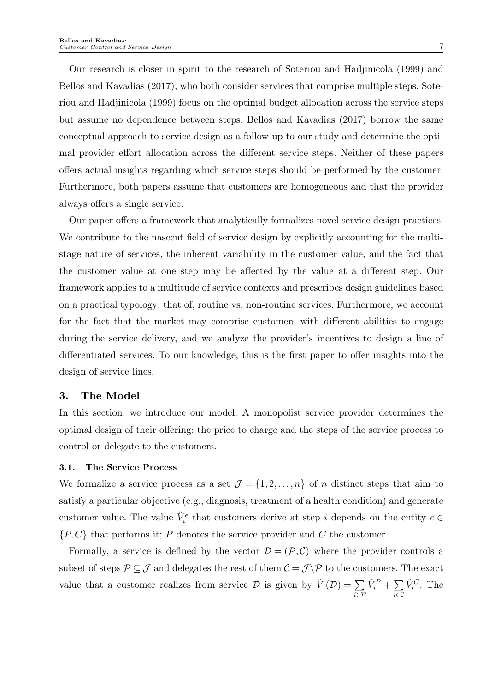Our research is closer in spirit to the research of Soteriou and Hadjinicola (1999) and Bellos and Kavadias (2017), who both consider services that comprise multiple steps. Soteriou and Hadjinicola (1999) focus on the optimal budget allocation across the service steps but assume no dependence between steps. Bellos and Kavadias (2017) borrow the same conceptual approach to service design as a follow-up to our study and determine the optimal provider effort allocation across the different service steps. Neither of these papers offers actual insights regarding which service steps should be performed by the customer. Furthermore, both papers assume that customers are homogeneous and that the provider always offers a single service.

Our paper offers a framework that analytically formalizes novel service design practices. We contribute to the nascent field of service design by explicitly accounting for the multistage nature of services, the inherent variability in the customer value, and the fact that the customer value at one step may be affected by the value at a different step. Our framework applies to a multitude of service contexts and prescribes design guidelines based on a practical typology: that of, routine vs. non-routine services. Furthermore, we account for the fact that the market may comprise customers with different abilities to engage during the service delivery, and we analyze the provider's incentives to design a line of differentiated services. To our knowledge, this is the first paper to offer insights into the design of service lines.

## 3. The Model

In this section, we introduce our model. A monopolist service provider determines the optimal design of their offering: the price to charge and the steps of the service process to control or delegate to the customers.

## 3.1. The Service Process

We formalize a service process as a set  $\mathcal{J} = \{1, 2, ..., n\}$  of n distinct steps that aim to satisfy a particular objective (e.g., diagnosis, treatment of a health condition) and generate customer value. The value  $\tilde{V}_i^e$  that customers derive at step i depends on the entity  $e \in$  ${P, C}$  that performs it; P denotes the service provider and C the customer.

Formally, a service is defined by the vector  $\mathcal{D} = (\mathcal{P}, \mathcal{C})$  where the provider controls a subset of steps  $P \subseteq \mathcal{J}$  and delegates the rest of them  $\mathcal{C} = \mathcal{J} \backslash \mathcal{P}$  to the customers. The exact value that a customer realizes from service D is given by  $\tilde{V}(\mathcal{D}) = \sum_{\alpha}$ i∈P  $\tilde{V}^P_i + \sum$ i∈C  $\tilde{V}_i^C$ . The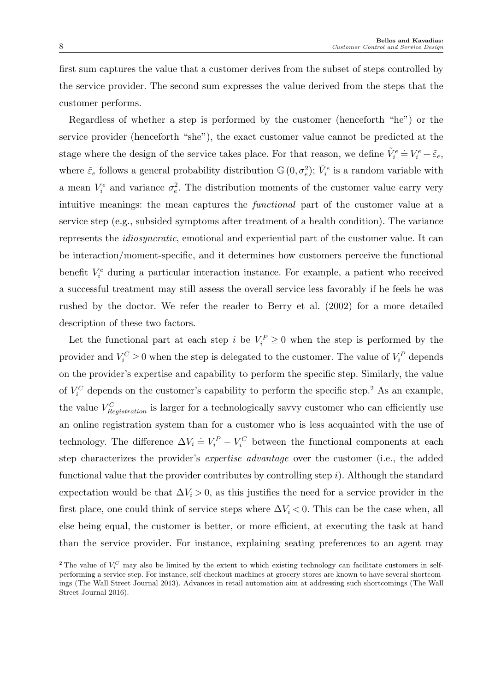first sum captures the value that a customer derives from the subset of steps controlled by the service provider. The second sum expresses the value derived from the steps that the customer performs.

Regardless of whether a step is performed by the customer (henceforth "he") or the service provider (henceforth "she"), the exact customer value cannot be predicted at the stage where the design of the service takes place. For that reason, we define  $\tilde{V}_i^e \doteq V_i^e + \tilde{\varepsilon}_e$ , where  $\tilde{\varepsilon}_e$  follows a general probability distribution  $\mathbb{G}(0, \sigma_e^2)$ ;  $\tilde{V}_i^e$  is a random variable with a mean  $V_i^e$  and variance  $\sigma_e^2$ . The distribution moments of the customer value carry very intuitive meanings: the mean captures the functional part of the customer value at a service step (e.g., subsided symptoms after treatment of a health condition). The variance represents the idiosyncratic, emotional and experiential part of the customer value. It can be interaction/moment-specific, and it determines how customers perceive the functional benefit  $V_i^e$  during a particular interaction instance. For example, a patient who received a successful treatment may still assess the overall service less favorably if he feels he was rushed by the doctor. We refer the reader to Berry et al. (2002) for a more detailed description of these two factors.

Let the functional part at each step i be  $V_i^P \geq 0$  when the step is performed by the provider and  $V_i^C \geq 0$  when the step is delegated to the customer. The value of  $V_i^P$  depends on the provider's expertise and capability to perform the specific step. Similarly, the value of  $V_i^C$  depends on the customer's capability to perform the specific step.<sup>2</sup> As an example, the value  $V_{Registration}^C$  is larger for a technologically savvy customer who can efficiently use an online registration system than for a customer who is less acquainted with the use of technology. The difference  $\Delta V_i \doteq V_i^P - V_i^C$  between the functional components at each step characterizes the provider's expertise advantage over the customer (i.e., the added functional value that the provider contributes by controlling step  $i$ ). Although the standard expectation would be that  $\Delta V_i > 0$ , as this justifies the need for a service provider in the first place, one could think of service steps where  $\Delta V_i$  < 0. This can be the case when, all else being equal, the customer is better, or more efficient, at executing the task at hand than the service provider. For instance, explaining seating preferences to an agent may

<sup>&</sup>lt;sup>2</sup> The value of  $V_i^C$  may also be limited by the extent to which existing technology can facilitate customers in selfperforming a service step. For instance, self-checkout machines at grocery stores are known to have several shortcomings (The Wall Street Journal 2013). Advances in retail automation aim at addressing such shortcomings (The Wall Street Journal 2016).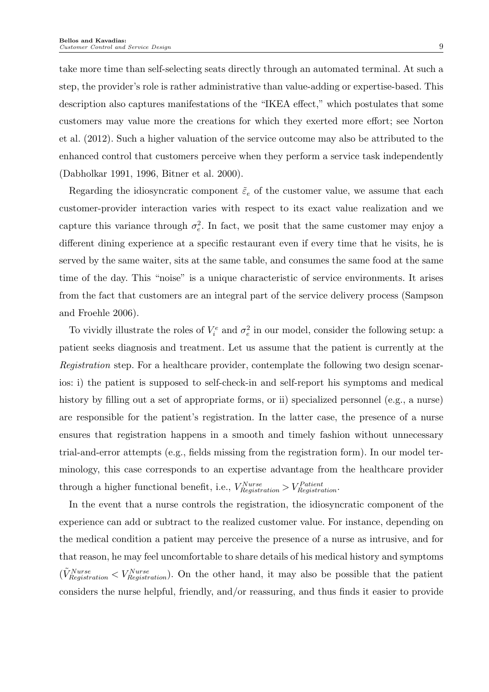take more time than self-selecting seats directly through an automated terminal. At such a step, the provider's role is rather administrative than value-adding or expertise-based. This description also captures manifestations of the "IKEA effect," which postulates that some customers may value more the creations for which they exerted more effort; see Norton et al. (2012). Such a higher valuation of the service outcome may also be attributed to the enhanced control that customers perceive when they perform a service task independently (Dabholkar 1991, 1996, Bitner et al. 2000).

Regarding the idiosyncratic component  $\tilde{\varepsilon}_e$  of the customer value, we assume that each customer-provider interaction varies with respect to its exact value realization and we capture this variance through  $\sigma_e^2$ . In fact, we posit that the same customer may enjoy a different dining experience at a specific restaurant even if every time that he visits, he is served by the same waiter, sits at the same table, and consumes the same food at the same time of the day. This "noise" is a unique characteristic of service environments. It arises from the fact that customers are an integral part of the service delivery process (Sampson and Froehle 2006).

To vividly illustrate the roles of  $V_i^e$  and  $\sigma_e^2$  in our model, consider the following setup: a patient seeks diagnosis and treatment. Let us assume that the patient is currently at the Registration step. For a healthcare provider, contemplate the following two design scenarios: i) the patient is supposed to self-check-in and self-report his symptoms and medical history by filling out a set of appropriate forms, or ii) specialized personnel (e.g., a nurse) are responsible for the patient's registration. In the latter case, the presence of a nurse ensures that registration happens in a smooth and timely fashion without unnecessary trial-and-error attempts (e.g., fields missing from the registration form). In our model terminology, this case corresponds to an expertise advantage from the healthcare provider through a higher functional benefit, i.e.,  $V_{Registration}^{Nurse} > V_{Registration}^{Patient}$ .

In the event that a nurse controls the registration, the idiosyncratic component of the experience can add or subtract to the realized customer value. For instance, depending on the medical condition a patient may perceive the presence of a nurse as intrusive, and for that reason, he may feel uncomfortable to share details of his medical history and symptoms  $(\tilde{V}_{Registration}^{Nurse} < V_{Registration}^{Nurse})$ . On the other hand, it may also be possible that the patient considers the nurse helpful, friendly, and/or reassuring, and thus finds it easier to provide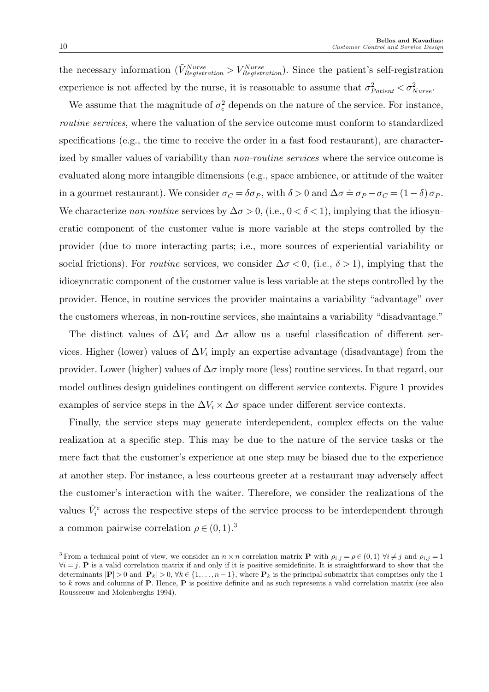the necessary information  $(\tilde{V}_{Registration}^{Nurse} > V_{Registration}^{Nurse})$ . Since the patient's self-registration experience is not affected by the nurse, it is reasonable to assume that  $\sigma_{Pattern}^2 < \sigma_{Nurse}^2$ .

We assume that the magnitude of  $\sigma_e^2$  depends on the nature of the service. For instance, routine services, where the valuation of the service outcome must conform to standardized specifications (e.g., the time to receive the order in a fast food restaurant), are characterized by smaller values of variability than *non-routine services* where the service outcome is evaluated along more intangible dimensions (e.g., space ambience, or attitude of the waiter in a gourmet restaurant). We consider  $\sigma_C = \delta \sigma_P$ , with  $\delta > 0$  and  $\Delta \sigma = \sigma_P - \sigma_C = (1 - \delta) \sigma_P$ . We characterize non-routine services by  $\Delta \sigma > 0$ , (i.e.,  $0 < \delta < 1$ ), implying that the idiosyncratic component of the customer value is more variable at the steps controlled by the provider (due to more interacting parts; i.e., more sources of experiential variability or social frictions). For *routine* services, we consider  $\Delta \sigma < 0$ , (i.e.,  $\delta > 1$ ), implying that the idiosyncratic component of the customer value is less variable at the steps controlled by the provider. Hence, in routine services the provider maintains a variability "advantage" over the customers whereas, in non-routine services, she maintains a variability "disadvantage."

The distinct values of  $\Delta V_i$  and  $\Delta \sigma$  allow us a useful classification of different services. Higher (lower) values of  $\Delta V_i$  imply an expertise advantage (disadvantage) from the provider. Lower (higher) values of  $\Delta\sigma$  imply more (less) routine services. In that regard, our model outlines design guidelines contingent on different service contexts. Figure 1 provides examples of service steps in the  $\Delta V_i \times \Delta \sigma$  space under different service contexts.

Finally, the service steps may generate interdependent, complex effects on the value realization at a specific step. This may be due to the nature of the service tasks or the mere fact that the customer's experience at one step may be biased due to the experience at another step. For instance, a less courteous greeter at a restaurant may adversely affect the customer's interaction with the waiter. Therefore, we consider the realizations of the values  $\tilde{V}_i^e$  across the respective steps of the service process to be interdependent through a common pairwise correlation  $\rho \in (0,1).^3$ 

<sup>&</sup>lt;sup>3</sup> From a technical point of view, we consider an  $n \times n$  correlation matrix **P** with  $\rho_{i,j} = \rho \in (0,1)$   $\forall i \neq j$  and  $\rho_{i,j} = 1$  $\forall i = j$ . **P** is a valid correlation matrix if and only if it is positive semidefinite. It is straightforward to show that the determinants  $|\mathbf{P}| > 0$  and  $|\mathbf{P}_k| > 0$ ,  $\forall k \in \{1, ..., n-1\}$ , where  $\mathbf{P}_k$  is the principal submatrix that comprises only the 1 to k rows and columns of  $P$ . Hence,  $P$  is positive definite and as such represents a valid correlation matrix (see also Rousseeuw and Molenberghs 1994).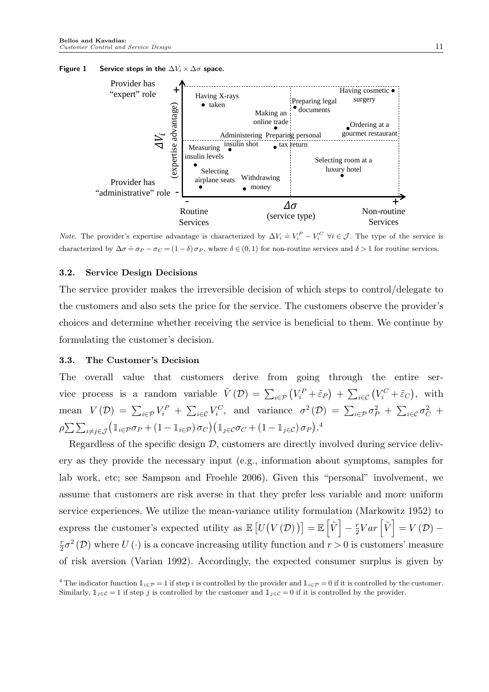#### Figure 1 Service steps in the  $\Delta V_i \times \Delta \sigma$  space.



*Note.* The provider's expertise advantage is characterized by  $\Delta V_i \doteq V_i^P - V_i^C$   $\forall i \in \mathcal{J}$ . The type of the service is characterized by  $\Delta \sigma = \sigma_P - \sigma_C = (1 - \delta) \sigma_P$ , where  $\delta \in (0, 1)$  for non-routine services and  $\delta > 1$  for routine services.

### 3.2. Service Design Decisions

The service provider makes the irreversible decision of which steps to control/delegate to the customers and also sets the price for the service. The customers observe the provider's choices and determine whether receiving the service is beneficial to them. We continue by formulating the customer's decision.

## 3.3. The Customer's Decision

The overall value that customers derive from going through the entire service process is a random variable  $\tilde{V}(\mathcal{D}) = \sum_{i \in \mathcal{P}} (V_i^P + \tilde{\varepsilon}_P) + \sum_{i \in \mathcal{C}} (V_i^C + \tilde{\varepsilon}_C)$ , with mean  $V(\mathcal{D}) = \sum_{i \in \mathcal{P}} V_i^P + \sum_{i \in \mathcal{C}} V_i^C$ , and variance  $\sigma^2(\mathcal{D}) = \sum_{i \in \mathcal{P}} \sigma_P^2 + \sum_{i \in \mathcal{C}} \sigma_C^2 +$  $\rho\sum\sum_{i\neq j\in\mathcal{J}}\bigl(\mathbbm{1}_{i\in\mathcal{P}}\sigma_P+(1-\mathbbm{1}_{i\in\mathcal{P}})\,\sigma_C\bigr)\bigl(\mathbbm{1}_{j\in\mathcal{C}}\sigma_C+(1-\mathbbm{1}_{j\in\mathcal{C}})\,\sigma_P\bigr).^4$ 

Regardless of the specific design  $D$ , customers are directly involved during service delivery as they provide the necessary input (e.g., information about symptoms, samples for lab work, etc; see Sampson and Froehle 2006). Given this "personal" involvement, we assume that customers are risk averse in that they prefer less variable and more uniform service experiences. We utilize the mean-variance utility formulation (Markowitz 1952) to express the customer's expected utility as  $\mathbb{E}[U(V(\mathcal{D}))] = \mathbb{E}[\tilde{V}] - \frac{r}{2}$  $\frac{r}{2}Var\left[\tilde{V}\right]=V\left(\mathcal{D}\right)$ r  $\frac{r}{2}\sigma^2(\mathcal{D})$  where  $U(\cdot)$  is a concave increasing utility function and  $r > 0$  is customers' measure of risk aversion (Varian 1992). Accordingly, the expected consumer surplus is given by

<sup>&</sup>lt;sup>4</sup> The indicator function  $\mathbb{1}_{i\in\mathcal{P}}=1$  if step i is controlled by the provider and  $\mathbb{1}_{i\in\mathcal{P}}=0$  if it is controlled by the customer. Similarly,  $\mathbb{1}_{j\in\mathcal{C}}=1$  if step j is controlled by the customer and  $\mathbb{1}_{j\in\mathcal{C}}=0$  if it is controlled by the provider.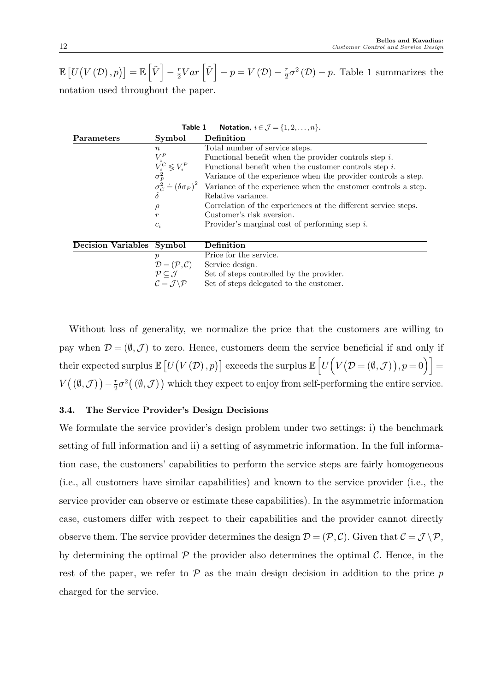$\mathbb{E}\left[U(V\left(\mathcal{D}\right), p\right)] = \mathbb{E}\left[\tilde{V}\right] - \frac{r}{2}$  $\frac{r}{2}Var\left[\tilde{V}\right]-p=V\left(\mathcal{D}\right)-\frac{r}{2}$  $\frac{r}{2}\sigma^2(\mathcal{D})-p$ . Table 1 summarizes the notation used throughout the paper.

| Notation, $i \in \mathcal{J} = \{1, 2, \ldots, n\}.$<br>Table 1 |                                                                                                                                 |                                                                |
|-----------------------------------------------------------------|---------------------------------------------------------------------------------------------------------------------------------|----------------------------------------------------------------|
| Parameters                                                      | <b>Symbol</b>                                                                                                                   | Definition                                                     |
|                                                                 | $n_{\rm c}$                                                                                                                     | Total number of service steps.                                 |
|                                                                 |                                                                                                                                 | Functional benefit when the provider controls step $i$ .       |
|                                                                 |                                                                                                                                 | Functional benefit when the customer controls step $i$ .       |
|                                                                 |                                                                                                                                 | Variance of the experience when the provider controls a step.  |
|                                                                 | $\begin{array}{l} V_i^P \\ V_i^C \lessgtr V_i^P \\ \sigma_P^2 \\ \sigma_C^2 \doteq \left(\delta \sigma_P \right)^2 \end{array}$ | Variance of the experience when the customer controls a step.  |
|                                                                 |                                                                                                                                 | Relative variance.                                             |
|                                                                 | $\rho$                                                                                                                          | Correlation of the experiences at the different service steps. |
|                                                                 | $\boldsymbol{r}$                                                                                                                | Customer's risk aversion.                                      |
|                                                                 | $c_i$                                                                                                                           | Provider's marginal cost of performing step $i$ .              |
|                                                                 |                                                                                                                                 |                                                                |
| Decision Variables Symbol                                       |                                                                                                                                 | Definition                                                     |
|                                                                 | $\boldsymbol{p}$                                                                                                                | Price for the service.                                         |
|                                                                 | $\mathcal{D} = (\mathcal{P}, \mathcal{C})$                                                                                      | Service design.                                                |
|                                                                 | $\mathcal{P} \subseteq \mathcal{J}$                                                                                             | Set of steps controlled by the provider.                       |
|                                                                 | $\mathcal{C} = \mathcal{J} \backslash \mathcal{P}$                                                                              | Set of steps delegated to the customer.                        |

Without loss of generality, we normalize the price that the customers are willing to pay when  $\mathcal{D} = (\emptyset, \mathcal{J})$  to zero. Hence, customers deem the service beneficial if and only if their expected surplus  $\mathbb{E}\left[U(V(\mathcal{D}), p)\right]$  exceeds the surplus  $\mathbb{E}\left[U(V(\mathcal{D} = (\emptyset, \mathcal{J})), p = 0)\right] =$  $V((\emptyset,\mathcal{J}))-\frac{r}{2}$  $\frac{r}{2}\sigma^2\big((\emptyset,\mathcal{J})\big)$  which they expect to enjoy from self-performing the entire service.

# 3.4. The Service Provider's Design Decisions

We formulate the service provider's design problem under two settings: i) the benchmark setting of full information and ii) a setting of asymmetric information. In the full information case, the customers' capabilities to perform the service steps are fairly homogeneous (i.e., all customers have similar capabilities) and known to the service provider (i.e., the service provider can observe or estimate these capabilities). In the asymmetric information case, customers differ with respect to their capabilities and the provider cannot directly observe them. The service provider determines the design  $\mathcal{D} = (\mathcal{P}, \mathcal{C})$ . Given that  $\mathcal{C} = \mathcal{J} \setminus \mathcal{P}$ , by determining the optimal  $\mathcal P$  the provider also determines the optimal  $\mathcal C$ . Hence, in the rest of the paper, we refer to  $P$  as the main design decision in addition to the price  $p$ charged for the service.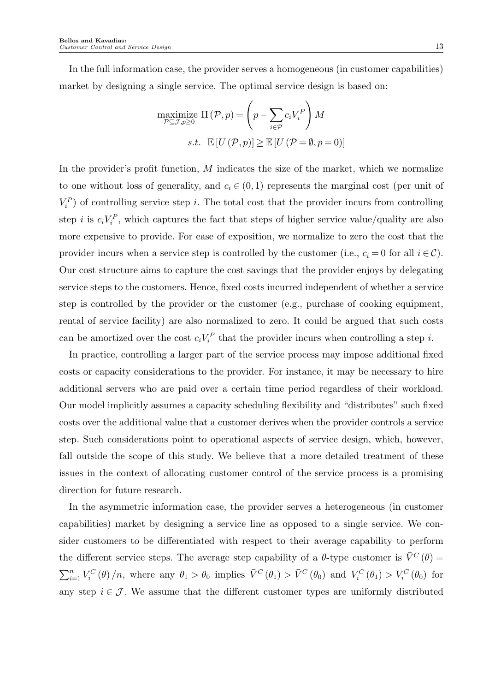In the full information case, the provider serves a homogeneous (in customer capabilities) market by designing a single service. The optimal service design is based on:

$$
\underset{\mathcal{P}\subseteq\mathcal{J},p\geq 0}{\text{maximize}} \Pi(\mathcal{P},p) = \left(p - \sum_{i \in \mathcal{P}} c_i V_i^P\right) M
$$
  
s.t.  $\mathbb{E}[U(\mathcal{P},p)] \geq \mathbb{E}[U(\mathcal{P} = \emptyset, p = 0)]$ 

In the provider's profit function, M indicates the size of the market, which we normalize to one without loss of generality, and  $c_i \in (0,1)$  represents the marginal cost (per unit of  $V_i^P$ ) of controlling service step i. The total cost that the provider incurs from controlling step *i* is  $c_i V_i^P$ , which captures the fact that steps of higher service value/quality are also more expensive to provide. For ease of exposition, we normalize to zero the cost that the provider incurs when a service step is controlled by the customer (i.e.,  $c_i = 0$  for all  $i \in \mathcal{C}$ ). Our cost structure aims to capture the cost savings that the provider enjoys by delegating service steps to the customers. Hence, fixed costs incurred independent of whether a service step is controlled by the provider or the customer (e.g., purchase of cooking equipment, rental of service facility) are also normalized to zero. It could be argued that such costs can be amortized over the cost  $c_i V_i^P$  that the provider incurs when controlling a step *i*.

In practice, controlling a larger part of the service process may impose additional fixed costs or capacity considerations to the provider. For instance, it may be necessary to hire additional servers who are paid over a certain time period regardless of their workload. Our model implicitly assumes a capacity scheduling flexibility and "distributes" such fixed costs over the additional value that a customer derives when the provider controls a service step. Such considerations point to operational aspects of service design, which, however, fall outside the scope of this study. We believe that a more detailed treatment of these issues in the context of allocating customer control of the service process is a promising direction for future research.

In the asymmetric information case, the provider serves a heterogeneous (in customer capabilities) market by designing a service line as opposed to a single service. We consider customers to be differentiated with respect to their average capability to perform the different service steps. The average step capability of a  $\theta$ -type customer is  $\bar{V}^C(\theta)$  =  $\sum_{i=1}^{n} V_i^C(\theta)/n$ , where any  $\theta_1 > \theta_0$  implies  $\overline{V}^C(\theta_1) > \overline{V}^C(\theta_0)$  and  $V_i^C(\theta_1) > V_i^C(\theta_0)$  for any step  $i \in \mathcal{J}$ . We assume that the different customer types are uniformly distributed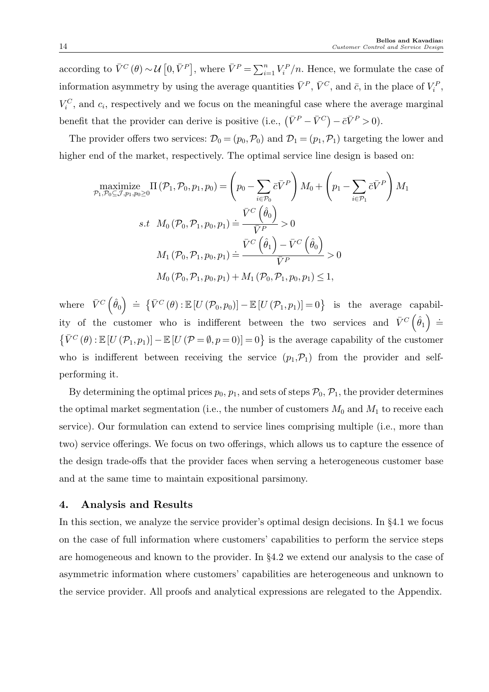according to  $\bar{V}^C(\theta) \sim \mathcal{U}\left[0, \bar{V}^P\right]$ , where  $\bar{V}^P = \sum_{i=1}^n V_i^P/n$ . Hence, we formulate the case of information asymmetry by using the average quantities  $\bar{V}^P$ ,  $\bar{V}^C$ , and  $\bar{c}$ , in the place of  $V_i^P$ ,  $V_i^C$ , and  $c_i$ , respectively and we focus on the meaningful case where the average marginal benefit that the provider can derive is positive (i.e.,  $(\bar{V}^P - \bar{V}^C) - \bar{c}\bar{V}^P > 0$ ).

The provider offers two services:  $\mathcal{D}_0 = (p_0, \mathcal{P}_0)$  and  $\mathcal{D}_1 = (p_1, \mathcal{P}_1)$  targeting the lower and higher end of the market, respectively. The optimal service line design is based on:

$$
\begin{aligned}\n\maximize_{\mathcal{P}_1, \mathcal{P}_0 \subseteq \mathcal{J}, p_1, p_0 \ge 0} \Pi \left( \mathcal{P}_1, \mathcal{P}_0, p_1, p_0 \right) &= \left( p_0 - \sum_{i \in \mathcal{P}_0} \bar{c} \bar{V}^P \right) M_0 + \left( p_1 - \sum_{i \in \mathcal{P}_1} \bar{c} \bar{V}^P \right) M_1 \\
\text{s.t} \quad M_0 \left( \mathcal{P}_0, \mathcal{P}_1, p_0, p_1 \right) &= \frac{\bar{V}^C \left( \hat{\theta}_0 \right)}{\bar{V}^P} > 0 \\
M_1 \left( \mathcal{P}_0, \mathcal{P}_1, p_0, p_1 \right) &= \frac{\bar{V}^C \left( \hat{\theta}_1 \right) - \bar{V}^C \left( \hat{\theta}_0 \right)}{\bar{V}^P} > 0 \\
M_0 \left( \mathcal{P}_0, \mathcal{P}_1, p_0, p_1 \right) &+ M_1 \left( \mathcal{P}_0, \mathcal{P}_1, p_0, p_1 \right) \le 1,\n\end{aligned}
$$

where  $\bar{V}^C(\hat{\theta}_0) \doteq \{ \bar{V}^C(\theta) : \mathbb{E}[U(\mathcal{P}_0, p_0)] - \mathbb{E}[U(\mathcal{P}_1, p_1)] = 0 \}$  is the average capability of the customer who is indifferent between the two services and  $\bar{V}^C(\hat{\theta}_1)$  =  $\{\bar{V}^C(\theta): \mathbb{E}[U(\mathcal{P}_1, p_1)] - \mathbb{E}[U(\mathcal{P} = \emptyset, p = 0)] = 0\}$  is the average capability of the customer who is indifferent between receiving the service  $(p_1, \mathcal{P}_1)$  from the provider and selfperforming it.

By determining the optimal prices  $p_0$ ,  $p_1$ , and sets of steps  $\mathcal{P}_0$ ,  $\mathcal{P}_1$ , the provider determines the optimal market segmentation (i.e., the number of customers  $M_0$  and  $M_1$  to receive each service). Our formulation can extend to service lines comprising multiple (i.e., more than two) service offerings. We focus on two offerings, which allows us to capture the essence of the design trade-offs that the provider faces when serving a heterogeneous customer base and at the same time to maintain expositional parsimony.

# 4. Analysis and Results

In this section, we analyze the service provider's optimal design decisions. In §4.1 we focus on the case of full information where customers' capabilities to perform the service steps are homogeneous and known to the provider. In §4.2 we extend our analysis to the case of asymmetric information where customers' capabilities are heterogeneous and unknown to the service provider. All proofs and analytical expressions are relegated to the Appendix.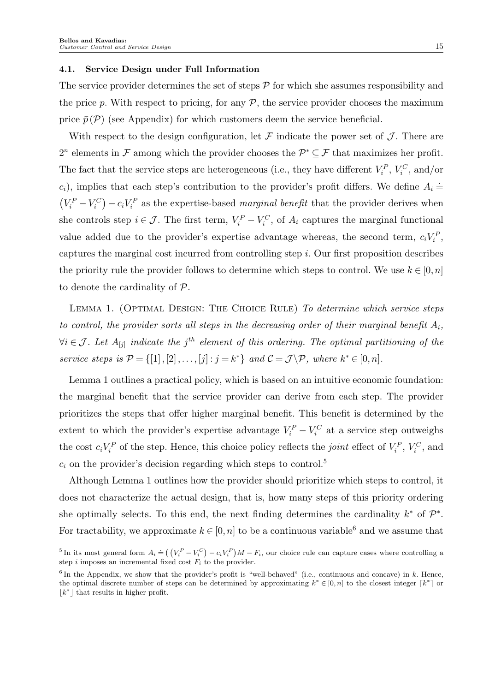### 4.1. Service Design under Full Information

The service provider determines the set of steps  $P$  for which she assumes responsibility and the price p. With respect to pricing, for any  $P$ , the service provider chooses the maximum price  $\bar{p}(\mathcal{P})$  (see Appendix) for which customers deem the service beneficial.

With respect to the design configuration, let F indicate the power set of  $\mathcal J$ . There are 2<sup>n</sup> elements in F among which the provider chooses the  $\mathcal{P}^* \subseteq \mathcal{F}$  that maximizes her profit. The fact that the service steps are heterogeneous (i.e., they have different  $V_i^P$ ,  $V_i^C$ , and/or  $c_i$ ), implies that each step's contribution to the provider's profit differs. We define  $A_i \doteq$  $(V_i^P - V_i^C) - c_i V_i^P$  as the expertise-based marginal benefit that the provider derives when she controls step  $i \in \mathcal{J}$ . The first term,  $V_i^P - V_i^C$ , of  $A_i$  captures the marginal functional value added due to the provider's expertise advantage whereas, the second term,  $c_i V_i^P$ , captures the marginal cost incurred from controlling step i. Our first proposition describes the priority rule the provider follows to determine which steps to control. We use  $k \in [0, n]$ to denote the cardinality of P.

LEMMA 1. (OPTIMAL DESIGN: THE CHOICE RULE) To determine which service steps to control, the provider sorts all steps in the decreasing order of their marginal benefit  $A_i$ ,  $\forall i \in \mathcal{J}$ . Let  $A_{[j]}$  indicate the j<sup>th</sup> element of this ordering. The optimal partitioning of the service steps is  $\mathcal{P} = \{ [1], [2], \ldots, [j] : j = k^* \}$  and  $\mathcal{C} = \mathcal{J} \backslash \mathcal{P}$ , where  $k^* \in [0, n]$ .

Lemma 1 outlines a practical policy, which is based on an intuitive economic foundation: the marginal benefit that the service provider can derive from each step. The provider prioritizes the steps that offer higher marginal benefit. This benefit is determined by the extent to which the provider's expertise advantage  $V_i^P - V_i^C$  at a service step outweighs the cost  $c_i V_i^P$  of the step. Hence, this choice policy reflects the *joint* effect of  $V_i^P$ ,  $V_i^C$ , and  $c_i$  on the provider's decision regarding which steps to control.<sup>5</sup>

Although Lemma 1 outlines how the provider should prioritize which steps to control, it does not characterize the actual design, that is, how many steps of this priority ordering she optimally selects. To this end, the next finding determines the cardinality  $k^*$  of  $\mathcal{P}^*$ . For tractability, we approximate  $k \in [0, n]$  to be a continuous variable<sup>6</sup> and we assume that

<sup>&</sup>lt;sup>5</sup> In its most general form  $A_i \doteq (\left(V_i^P - V_i^C\right) - c_i V_i^P)M - F_i$ , our choice rule can capture cases where controlling a step i imposes an incremental fixed cost  $F_i$  to the provider.

 $6$  In the Appendix, we show that the provider's profit is "well-behaved" (i.e., continuous and concave) in k. Hence, the optimal discrete number of steps can be determined by approximating  $k^* \in [0,n]$  to the closest integer  $[k^*]$  or  $\lfloor k^* \rfloor$  that results in higher profit.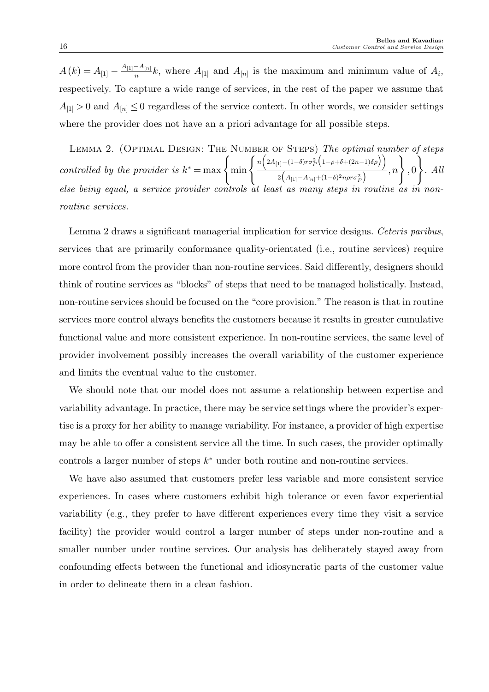$A\left(k\right)=A_{\left[1\right]}-\frac{A_{\left[1\right]}-A_{\left[n\right]}}{n}$  $\frac{d}{n-k}k$ , where  $A_{[1]}$  and  $A_{[n]}$  is the maximum and minimum value of  $A_i$ , respectively. To capture a wide range of services, in the rest of the paper we assume that  $A_{[1]} > 0$  and  $A_{[n]} \leq 0$  regardless of the service context. In other words, we consider settings where the provider does not have an a priori advantage for all possible steps.

LEMMA 2. (OPTIMAL DESIGN: THE NUMBER OF STEPS) The optimal number of steps controlled by the provider is  $k^* = \max\left\{\min\left\{\frac{n\left(2A_{[1]}-(1-\delta)r\sigma_P^2\left(1-\rho+\delta+(2n-1)\delta\rho\right)\right)}{\rho}\right\}\right\}$  $\left.\frac{11^{-(1-\delta)r\sigma_P^2\big(1-\rho+\delta+(2n-1)\delta\rho\big)\big)}{2\big(A_{[1]}-A_{[n]}+(1-\delta)^2n\rho r\sigma_P^2\big)},n\right\},0$  $\lambda$ . All else being equal, a service provider controls at least as many steps in routine as in nonroutine services.

Lemma 2 draws a significant managerial implication for service designs. Ceteris paribus, services that are primarily conformance quality-orientated (i.e., routine services) require more control from the provider than non-routine services. Said differently, designers should think of routine services as "blocks" of steps that need to be managed holistically. Instead, non-routine services should be focused on the "core provision." The reason is that in routine services more control always benefits the customers because it results in greater cumulative functional value and more consistent experience. In non-routine services, the same level of provider involvement possibly increases the overall variability of the customer experience and limits the eventual value to the customer.

We should note that our model does not assume a relationship between expertise and variability advantage. In practice, there may be service settings where the provider's expertise is a proxy for her ability to manage variability. For instance, a provider of high expertise may be able to offer a consistent service all the time. In such cases, the provider optimally controls a larger number of steps  $k^*$  under both routine and non-routine services.

We have also assumed that customers prefer less variable and more consistent service experiences. In cases where customers exhibit high tolerance or even favor experiential variability (e.g., they prefer to have different experiences every time they visit a service facility) the provider would control a larger number of steps under non-routine and a smaller number under routine services. Our analysis has deliberately stayed away from confounding effects between the functional and idiosyncratic parts of the customer value in order to delineate them in a clean fashion.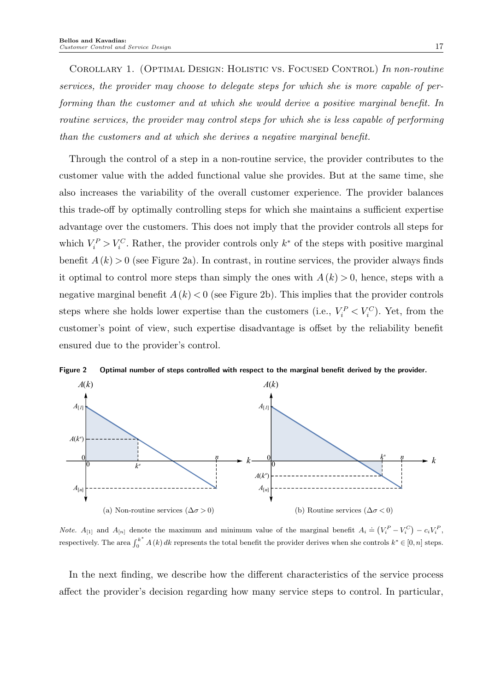Corollary 1. (Optimal Design: Holistic vs. Focused Control) In non-routine services, the provider may choose to delegate steps for which she is more capable of performing than the customer and at which she would derive a positive marginal benefit. In routine services, the provider may control steps for which she is less capable of performing than the customers and at which she derives a negative marginal benefit.

Through the control of a step in a non-routine service, the provider contributes to the customer value with the added functional value she provides. But at the same time, she also increases the variability of the overall customer experience. The provider balances this trade-off by optimally controlling steps for which she maintains a sufficient expertise advantage over the customers. This does not imply that the provider controls all steps for which  $V_i^P > V_i^C$ . Rather, the provider controls only  $k^*$  of the steps with positive marginal benefit  $A(k) > 0$  (see Figure 2a). In contrast, in routine services, the provider always finds it optimal to control more steps than simply the ones with  $A(k) > 0$ , hence, steps with a negative marginal benefit  $A(k) < 0$  (see Figure 2b). This implies that the provider controls steps where she holds lower expertise than the customers (i.e.,  $V_i^P < V_i^C$ ). Yet, from the customer's point of view, such expertise disadvantage is offset by the reliability benefit ensured due to the provider's control.



Figure 2 Optimal number of steps controlled with respect to the marginal benefit derived by the provider.

*Note.*  $A_{[1]}$  and  $A_{[n]}$  denote the maximum and minimum value of the marginal benefit  $A_i \doteq (V_i^P - V_i^C) - c_i V_i^P$ respectively. The area  $\int_0^{k^*} A(k) dk$  represents the total benefit the provider derives when she controls  $k^* \in [0, n]$  steps.

In the next finding, we describe how the different characteristics of the service process affect the provider's decision regarding how many service steps to control. In particular,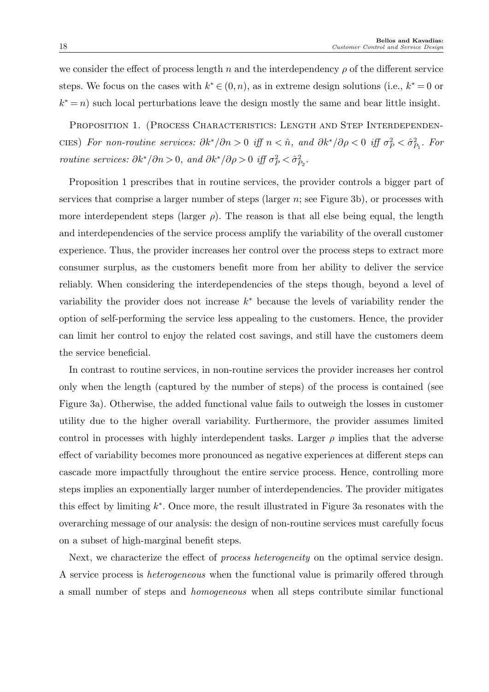we consider the effect of process length n and the interdependency  $\rho$  of the different service steps. We focus on the cases with  $k^* \in (0, n)$ , as in extreme design solutions (i.e.,  $k^* = 0$  or  $k^* = n$ ) such local perturbations leave the design mostly the same and bear little insight.

PROPOSITION 1. (PROCESS CHARACTERISTICS: LENGTH AND STEP INTERDEPENDEN-CIES) For non-routine services:  $\partial k^*/\partial n > 0$  iff  $n < \hat{n}$ , and  $\partial k^*/\partial \rho < 0$  iff  $\sigma_P^2 < \hat{\sigma}_{P_1}^2$ . For routine services:  $\partial k^* / \partial n > 0$ , and  $\partial k^* / \partial \rho > 0$  iff  $\sigma_P^2 < \hat{\sigma}_{P_2}^2$ .

Proposition 1 prescribes that in routine services, the provider controls a bigger part of services that comprise a larger number of steps (larger  $n$ ; see Figure 3b), or processes with more interdependent steps (larger  $\rho$ ). The reason is that all else being equal, the length and interdependencies of the service process amplify the variability of the overall customer experience. Thus, the provider increases her control over the process steps to extract more consumer surplus, as the customers benefit more from her ability to deliver the service reliably. When considering the interdependencies of the steps though, beyond a level of variability the provider does not increase  $k^*$  because the levels of variability render the option of self-performing the service less appealing to the customers. Hence, the provider can limit her control to enjoy the related cost savings, and still have the customers deem the service beneficial.

In contrast to routine services, in non-routine services the provider increases her control only when the length (captured by the number of steps) of the process is contained (see Figure 3a). Otherwise, the added functional value fails to outweigh the losses in customer utility due to the higher overall variability. Furthermore, the provider assumes limited control in processes with highly interdependent tasks. Larger  $\rho$  implies that the adverse effect of variability becomes more pronounced as negative experiences at different steps can cascade more impactfully throughout the entire service process. Hence, controlling more steps implies an exponentially larger number of interdependencies. The provider mitigates this effect by limiting  $k^*$ . Once more, the result illustrated in Figure 3a resonates with the overarching message of our analysis: the design of non-routine services must carefully focus on a subset of high-marginal benefit steps.

Next, we characterize the effect of *process heterogeneity* on the optimal service design. A service process is heterogeneous when the functional value is primarily offered through a small number of steps and homogeneous when all steps contribute similar functional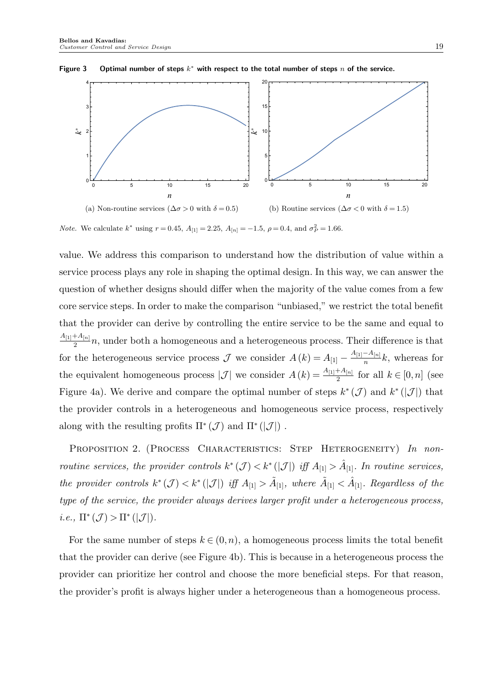#### Figure 3 Optimal number of steps  $k^*$  with respect to the total number of steps n of the service.



*Note.* We calculate  $k^*$  using  $r = 0.45$ ,  $A_{[1]} = 2.25$ ,  $A_{[n]} = -1.5$ ,  $\rho = 0.4$ , and  $\sigma_P^2 = 1.66$ .

value. We address this comparison to understand how the distribution of value within a service process plays any role in shaping the optimal design. In this way, we can answer the question of whether designs should differ when the majority of the value comes from a few core service steps. In order to make the comparison "unbiased," we restrict the total benefit that the provider can derive by controlling the entire service to be the same and equal to  $A_{[1]}+A_{[n]}$  $\frac{1+A_{[n]}}{2}n$ , under both a homogeneous and a heterogeneous process. Their difference is that for the heterogeneous service process  $\mathcal J$  we consider  $A(k) = A_{[1]} - \frac{A_{[1]} - A_{[n]}}{n}$  $\frac{-A_{[n]}}{n}k$ , whereas for the equivalent homogeneous process  $|\mathcal{J}|$  we consider  $A(k) = \frac{A_{[1]} + A_{[n]}}{2}$  for all  $k \in [0, n]$  (see Figure 4a). We derive and compare the optimal number of steps  $k^*(\mathcal{J})$  and  $k^*(\mathcal{J})$  that the provider controls in a heterogeneous and homogeneous service process, respectively along with the resulting profits  $\Pi^*({\mathcal{J}})$  and  $\Pi^*({\mathcal{J}})$ .

PROPOSITION 2. (PROCESS CHARACTERISTICS: STEP HETEROGENEITY) In nonroutine services, the provider controls  $k^*(\mathcal{J}) < k^*(\mathcal{J})$  iff  $A_{[1]} > \hat{A}_{[1]}$ . In routine services, the provider controls  $k^*(\mathcal{J}) < k^*(\mathcal{J})$  iff  $A_{[1]} > \tilde{A}_{[1]}$ , where  $\tilde{A}_{[1]} < \hat{A}_{[1]}$ . Regardless of the type of the service, the provider always derives larger profit under a heterogeneous process, *i.e.*,  $\Pi^*(\mathcal{J}) > \Pi^*(|\mathcal{J}|).$ 

For the same number of steps  $k \in (0, n)$ , a homogeneous process limits the total benefit that the provider can derive (see Figure 4b). This is because in a heterogeneous process the provider can prioritize her control and choose the more beneficial steps. For that reason, the provider's profit is always higher under a heterogeneous than a homogeneous process.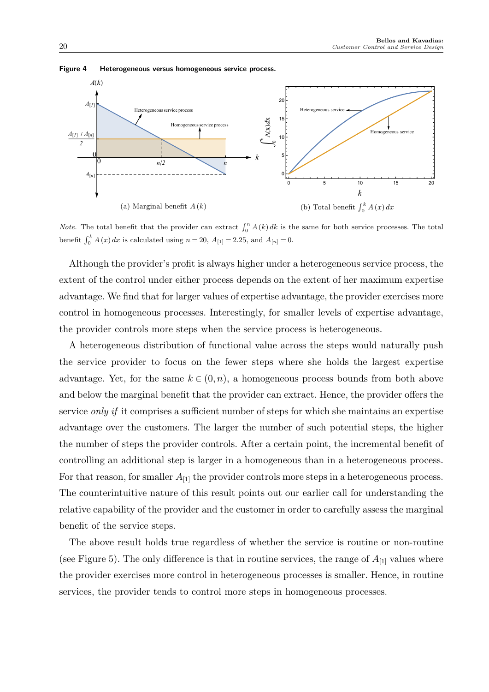

Figure 4 Heterogeneous versus homogeneous service process.

*Note.* The total benefit that the provider can extract  $\int_0^n A(k) dk$  is the same for both service processes. The total benefit  $\int_0^k A(x) dx$  is calculated using  $n = 20$ ,  $A_{[1]} = 2.25$ , and  $A_{[n]} = 0$ .

Although the provider's profit is always higher under a heterogeneous service process, the extent of the control under either process depends on the extent of her maximum expertise advantage. We find that for larger values of expertise advantage, the provider exercises more control in homogeneous processes. Interestingly, for smaller levels of expertise advantage, the provider controls more steps when the service process is heterogeneous.

A heterogeneous distribution of functional value across the steps would naturally push the service provider to focus on the fewer steps where she holds the largest expertise advantage. Yet, for the same  $k \in (0, n)$ , a homogeneous process bounds from both above and below the marginal benefit that the provider can extract. Hence, the provider offers the service *only if* it comprises a sufficient number of steps for which she maintains an expertise advantage over the customers. The larger the number of such potential steps, the higher the number of steps the provider controls. After a certain point, the incremental benefit of controlling an additional step is larger in a homogeneous than in a heterogeneous process. For that reason, for smaller  $A_{11}$  the provider controls more steps in a heterogeneous process. The counterintuitive nature of this result points out our earlier call for understanding the relative capability of the provider and the customer in order to carefully assess the marginal benefit of the service steps.

The above result holds true regardless of whether the service is routine or non-routine (see Figure 5). The only difference is that in routine services, the range of  $A_{11}$  values where the provider exercises more control in heterogeneous processes is smaller. Hence, in routine services, the provider tends to control more steps in homogeneous processes.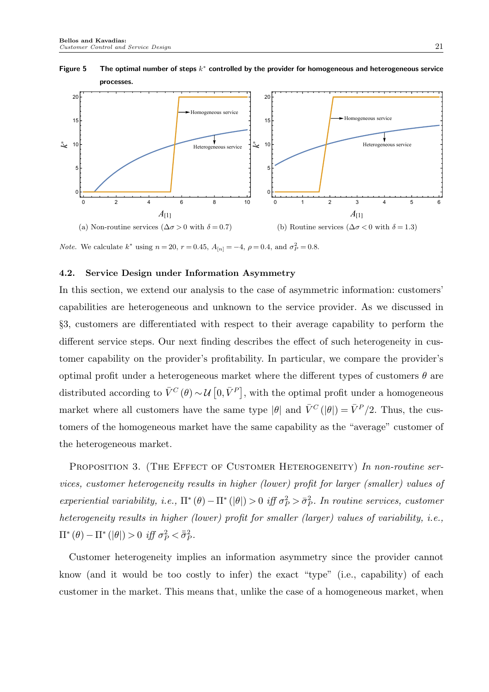## Figure 5 The optimal number of steps  $k^*$  controlled by the provider for homogeneous and heterogeneous service processes.



*Note.* We calculate  $k^*$  using  $n = 20$ ,  $r = 0.45$ ,  $A_{[n]} = -4$ ,  $\rho = 0.4$ , and  $\sigma_P^2 = 0.8$ .

# 4.2. Service Design under Information Asymmetry

In this section, we extend our analysis to the case of asymmetric information: customers' capabilities are heterogeneous and unknown to the service provider. As we discussed in §3, customers are differentiated with respect to their average capability to perform the different service steps. Our next finding describes the effect of such heterogeneity in customer capability on the provider's profitability. In particular, we compare the provider's optimal profit under a heterogeneous market where the different types of customers  $\theta$  are distributed according to  $\bar{V}^C(\theta) \sim \mathcal{U} [0, \bar{V}^P]$ , with the optimal profit under a homogeneous market where all customers have the same type  $|\theta|$  and  $\overline{V}^C(|\theta|) = \overline{V}^P/2$ . Thus, the customers of the homogeneous market have the same capability as the "average" customer of the heterogeneous market.

PROPOSITION 3. (THE EFFECT OF CUSTOMER HETEROGENEITY) In non-routine services, customer heterogeneity results in higher (lower) profit for larger (smaller) values of experiential variability, i.e.,  $\Pi^*(\theta) - \Pi^*(\theta) > 0$  iff  $\sigma_P^2 > \bar{\sigma}_P^2$ . In routine services, customer heterogeneity results in higher (lower) profit for smaller (larger) values of variability, i.e.,  $\Pi^*(\theta) - \Pi^*(|\theta|) > 0$  iff  $\sigma_P^2 < \bar{\sigma}_P^2$ .

Customer heterogeneity implies an information asymmetry since the provider cannot know (and it would be too costly to infer) the exact "type" (i.e., capability) of each customer in the market. This means that, unlike the case of a homogeneous market, when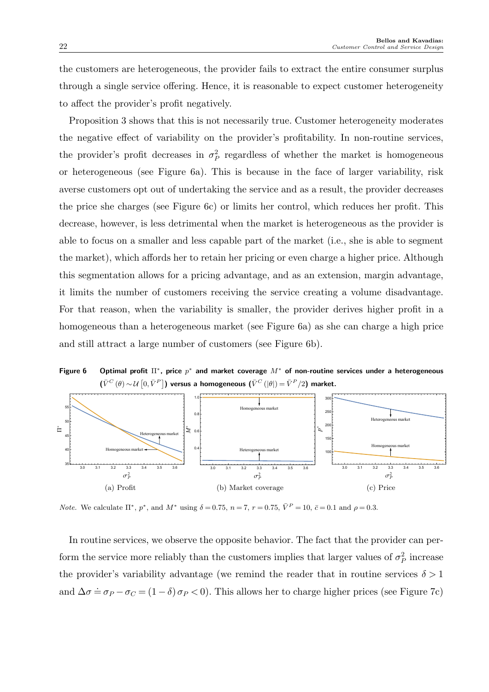the customers are heterogeneous, the provider fails to extract the entire consumer surplus through a single service offering. Hence, it is reasonable to expect customer heterogeneity to affect the provider's profit negatively.

Proposition 3 shows that this is not necessarily true. Customer heterogeneity moderates the negative effect of variability on the provider's profitability. In non-routine services, the provider's profit decreases in  $\sigma_P^2$  regardless of whether the market is homogeneous or heterogeneous (see Figure 6a). This is because in the face of larger variability, risk averse customers opt out of undertaking the service and as a result, the provider decreases the price she charges (see Figure 6c) or limits her control, which reduces her profit. This decrease, however, is less detrimental when the market is heterogeneous as the provider is able to focus on a smaller and less capable part of the market (i.e., she is able to segment the market), which affords her to retain her pricing or even charge a higher price. Although this segmentation allows for a pricing advantage, and as an extension, margin advantage, it limits the number of customers receiving the service creating a volume disadvantage. For that reason, when the variability is smaller, the provider derives higher profit in a homogeneous than a heterogeneous market (see Figure 6a) as she can charge a high price and still attract a large number of customers (see Figure 6b).

Figure 6 Optimal profit  $\Pi^*$ , price  $p^*$  and market coverage  $M^*$  of non-routine services under a heterogeneous  $(\bar{V}^C(\theta) \sim \mathcal{U}\left[0,\bar{V}^P\right])$  versus a homogeneous  $(\bar{V}^C\left(|\theta|\right) = \bar{V}^P/2)$  market.



*Note.* We calculate  $\Pi^*, p^*$ , and  $M^*$  using  $\delta = 0.75$ ,  $n = 7$ ,  $r = 0.75$ ,  $\overline{V}^P = 10$ ,  $\overline{c} = 0.1$  and  $\rho = 0.3$ .

In routine services, we observe the opposite behavior. The fact that the provider can perform the service more reliably than the customers implies that larger values of  $\sigma_P^2$  increase the provider's variability advantage (we remind the reader that in routine services  $\delta > 1$ and  $\Delta \sigma = \sigma_P - \sigma_C = (1 - \delta) \sigma_P < 0$ . This allows her to charge higher prices (see Figure 7c)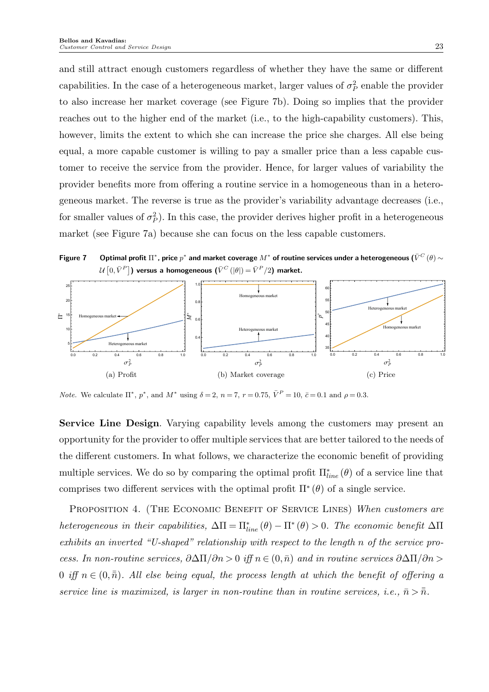and still attract enough customers regardless of whether they have the same or different capabilities. In the case of a heterogeneous market, larger values of  $\sigma_P^2$  enable the provider to also increase her market coverage (see Figure 7b). Doing so implies that the provider reaches out to the higher end of the market (i.e., to the high-capability customers). This, however, limits the extent to which she can increase the price she charges. All else being equal, a more capable customer is willing to pay a smaller price than a less capable customer to receive the service from the provider. Hence, for larger values of variability the provider benefits more from offering a routine service in a homogeneous than in a heterogeneous market. The reverse is true as the provider's variability advantage decreases (i.e., for smaller values of  $\sigma_P^2$ ). In this case, the provider derives higher profit in a heterogeneous market (see Figure 7a) because she can focus on the less capable customers.





*Note.* We calculate  $\Pi^*, p^*$ , and  $M^*$  using  $\delta = 2$ ,  $n = 7$ ,  $r = 0.75$ ,  $\overline{V}^P = 10$ ,  $\overline{c} = 0.1$  and  $\rho = 0.3$ .

Service Line Design. Varying capability levels among the customers may present an opportunity for the provider to offer multiple services that are better tailored to the needs of the different customers. In what follows, we characterize the economic benefit of providing multiple services. We do so by comparing the optimal profit  $\Pi^*_{line}(\theta)$  of a service line that comprises two different services with the optimal profit  $\Pi^*(\theta)$  of a single service.

PROPOSITION 4. (THE ECONOMIC BENEFIT OF SERVICE LINES) When customers are heterogeneous in their capabilities,  $\Delta \Pi = \Pi^*_{line}(\theta) - \Pi^*(\theta) > 0$ . The economic benefit  $\Delta \Pi$ exhibits an inverted "U-shaped" relationship with respect to the length n of the service process. In non-routine services,  $\partial \Delta \Pi / \partial n > 0$  iff  $n \in (0, \bar{n})$  and in routine services  $\partial \Delta \Pi / \partial n > 0$ 0 iff  $n \in (0,\bar{\bar{n}})$ . All else being equal, the process length at which the benefit of offering a service line is maximized, is larger in non-routine than in routine services, i.e.,  $\bar{n} > \bar{\bar{n}}$ .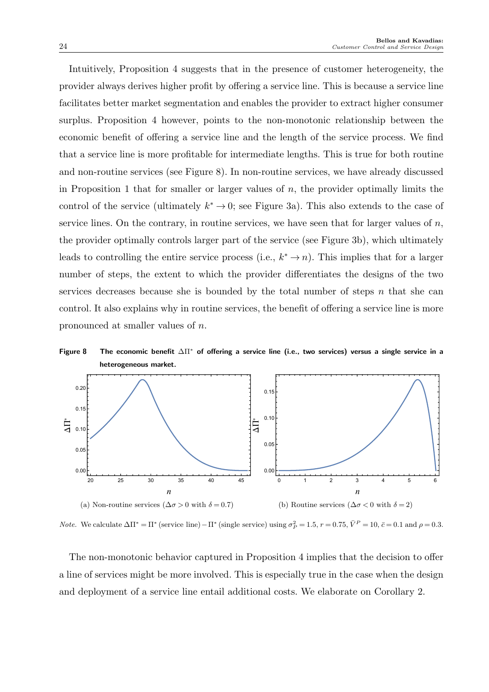Intuitively, Proposition 4 suggests that in the presence of customer heterogeneity, the provider always derives higher profit by offering a service line. This is because a service line facilitates better market segmentation and enables the provider to extract higher consumer surplus. Proposition 4 however, points to the non-monotonic relationship between the economic benefit of offering a service line and the length of the service process. We find that a service line is more profitable for intermediate lengths. This is true for both routine and non-routine services (see Figure 8). In non-routine services, we have already discussed in Proposition 1 that for smaller or larger values of  $n$ , the provider optimally limits the control of the service (ultimately  $k^* \to 0$ ; see Figure 3a). This also extends to the case of service lines. On the contrary, in routine services, we have seen that for larger values of  $n$ , the provider optimally controls larger part of the service (see Figure 3b), which ultimately leads to controlling the entire service process (i.e.,  $k^* \to n$ ). This implies that for a larger number of steps, the extent to which the provider differentiates the designs of the two services decreases because she is bounded by the total number of steps  $n$  that she can control. It also explains why in routine services, the benefit of offering a service line is more pronounced at smaller values of n.





*Note.* We calculate  $\Delta \Pi^* = \Pi^*$  (service line)  $-\Pi^*$  (single service) using  $\sigma_P^2 = 1.5$ ,  $r = 0.75$ ,  $\bar{V}^P = 10$ ,  $\bar{c} = 0.1$  and  $\rho = 0.3$ .

The non-monotonic behavior captured in Proposition 4 implies that the decision to offer a line of services might be more involved. This is especially true in the case when the design and deployment of a service line entail additional costs. We elaborate on Corollary 2.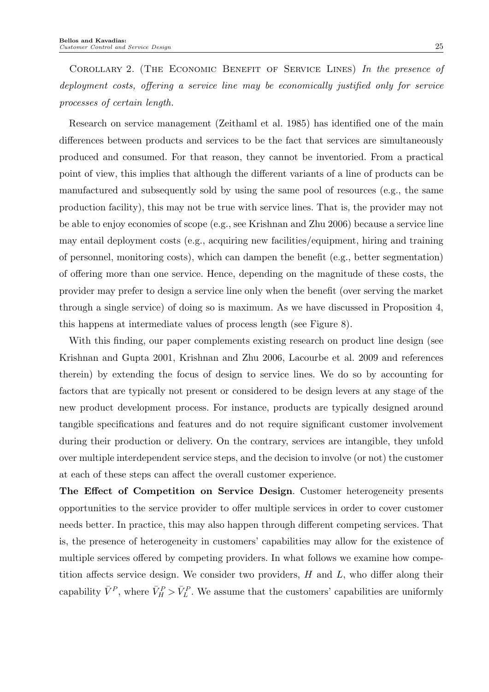Corollary 2. (The Economic Benefit of Service Lines) In the presence of deployment costs, offering a service line may be economically justified only for service processes of certain length.

Research on service management (Zeithaml et al. 1985) has identified one of the main differences between products and services to be the fact that services are simultaneously produced and consumed. For that reason, they cannot be inventoried. From a practical point of view, this implies that although the different variants of a line of products can be manufactured and subsequently sold by using the same pool of resources (e.g., the same production facility), this may not be true with service lines. That is, the provider may not be able to enjoy economies of scope (e.g., see Krishnan and Zhu 2006) because a service line may entail deployment costs (e.g., acquiring new facilities/equipment, hiring and training of personnel, monitoring costs), which can dampen the benefit (e.g., better segmentation) of offering more than one service. Hence, depending on the magnitude of these costs, the provider may prefer to design a service line only when the benefit (over serving the market through a single service) of doing so is maximum. As we have discussed in Proposition 4, this happens at intermediate values of process length (see Figure 8).

With this finding, our paper complements existing research on product line design (see Krishnan and Gupta 2001, Krishnan and Zhu 2006, Lacourbe et al. 2009 and references therein) by extending the focus of design to service lines. We do so by accounting for factors that are typically not present or considered to be design levers at any stage of the new product development process. For instance, products are typically designed around tangible specifications and features and do not require significant customer involvement during their production or delivery. On the contrary, services are intangible, they unfold over multiple interdependent service steps, and the decision to involve (or not) the customer at each of these steps can affect the overall customer experience.

The Effect of Competition on Service Design. Customer heterogeneity presents opportunities to the service provider to offer multiple services in order to cover customer needs better. In practice, this may also happen through different competing services. That is, the presence of heterogeneity in customers' capabilities may allow for the existence of multiple services offered by competing providers. In what follows we examine how competition affects service design. We consider two providers,  $H$  and  $L$ , who differ along their capability  $\bar{V}^P$ , where  $\bar{V}^P_H > \bar{V}^P_L$ . We assume that the customers' capabilities are uniformly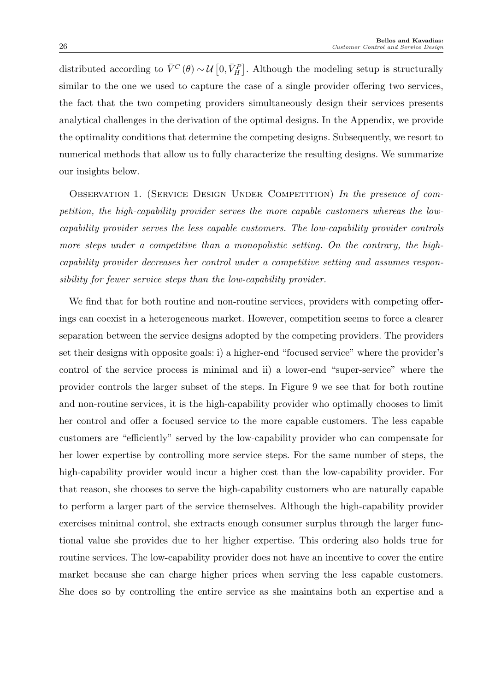distributed according to  $\bar{V}^C(\theta) \sim \mathcal{U}\left[0, \bar{V}_{H}^P\right]$ . Although the modeling setup is structurally similar to the one we used to capture the case of a single provider offering two services, the fact that the two competing providers simultaneously design their services presents analytical challenges in the derivation of the optimal designs. In the Appendix, we provide the optimality conditions that determine the competing designs. Subsequently, we resort to numerical methods that allow us to fully characterize the resulting designs. We summarize our insights below.

OBSERVATION 1. (SERVICE DESIGN UNDER COMPETITION) In the presence of competition, the high-capability provider serves the more capable customers whereas the lowcapability provider serves the less capable customers. The low-capability provider controls more steps under a competitive than a monopolistic setting. On the contrary, the highcapability provider decreases her control under a competitive setting and assumes responsibility for fewer service steps than the low-capability provider.

We find that for both routine and non-routine services, providers with competing offerings can coexist in a heterogeneous market. However, competition seems to force a clearer separation between the service designs adopted by the competing providers. The providers set their designs with opposite goals: i) a higher-end "focused service" where the provider's control of the service process is minimal and ii) a lower-end "super-service" where the provider controls the larger subset of the steps. In Figure 9 we see that for both routine and non-routine services, it is the high-capability provider who optimally chooses to limit her control and offer a focused service to the more capable customers. The less capable customers are "efficiently" served by the low-capability provider who can compensate for her lower expertise by controlling more service steps. For the same number of steps, the high-capability provider would incur a higher cost than the low-capability provider. For that reason, she chooses to serve the high-capability customers who are naturally capable to perform a larger part of the service themselves. Although the high-capability provider exercises minimal control, she extracts enough consumer surplus through the larger functional value she provides due to her higher expertise. This ordering also holds true for routine services. The low-capability provider does not have an incentive to cover the entire market because she can charge higher prices when serving the less capable customers. She does so by controlling the entire service as she maintains both an expertise and a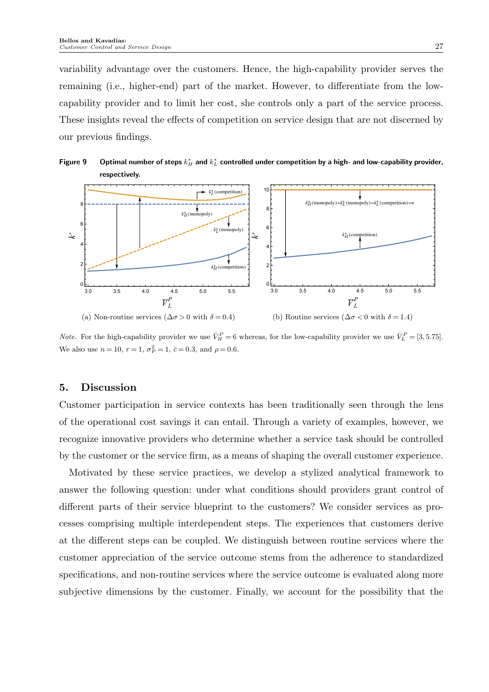variability advantage over the customers. Hence, the high-capability provider serves the remaining (i.e., higher-end) part of the market. However, to differentiate from the lowcapability provider and to limit her cost, she controls only a part of the service process. These insights reveal the effects of competition on service design that are not discerned by our previous findings.





*Note.* For the high-capability provider we use  $\bar{V}_H^P = 6$  whereas, for the low-capability provider we use  $\bar{V}_L^P = [3, 5.75]$ . We also use  $n = 10$ ,  $r = 1$ ,  $\sigma_P^2 = 1$ ,  $\bar{c} = 0.3$ , and  $\rho = 0.6$ .

## 5. Discussion

Customer participation in service contexts has been traditionally seen through the lens of the operational cost savings it can entail. Through a variety of examples, however, we recognize innovative providers who determine whether a service task should be controlled by the customer or the service firm, as a means of shaping the overall customer experience.

Motivated by these service practices, we develop a stylized analytical framework to answer the following question: under what conditions should providers grant control of different parts of their service blueprint to the customers? We consider services as processes comprising multiple interdependent steps. The experiences that customers derive at the different steps can be coupled. We distinguish between routine services where the customer appreciation of the service outcome stems from the adherence to standardized specifications, and non-routine services where the service outcome is evaluated along more subjective dimensions by the customer. Finally, we account for the possibility that the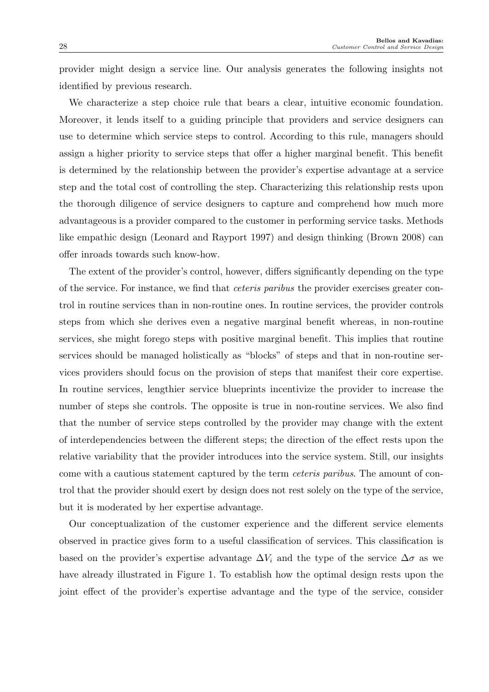provider might design a service line. Our analysis generates the following insights not identified by previous research.

We characterize a step choice rule that bears a clear, intuitive economic foundation. Moreover, it lends itself to a guiding principle that providers and service designers can use to determine which service steps to control. According to this rule, managers should assign a higher priority to service steps that offer a higher marginal benefit. This benefit is determined by the relationship between the provider's expertise advantage at a service step and the total cost of controlling the step. Characterizing this relationship rests upon the thorough diligence of service designers to capture and comprehend how much more advantageous is a provider compared to the customer in performing service tasks. Methods like empathic design (Leonard and Rayport 1997) and design thinking (Brown 2008) can offer inroads towards such know-how.

The extent of the provider's control, however, differs significantly depending on the type of the service. For instance, we find that ceteris paribus the provider exercises greater control in routine services than in non-routine ones. In routine services, the provider controls steps from which she derives even a negative marginal benefit whereas, in non-routine services, she might forego steps with positive marginal benefit. This implies that routine services should be managed holistically as "blocks" of steps and that in non-routine services providers should focus on the provision of steps that manifest their core expertise. In routine services, lengthier service blueprints incentivize the provider to increase the number of steps she controls. The opposite is true in non-routine services. We also find that the number of service steps controlled by the provider may change with the extent of interdependencies between the different steps; the direction of the effect rests upon the relative variability that the provider introduces into the service system. Still, our insights come with a cautious statement captured by the term ceteris paribus. The amount of control that the provider should exert by design does not rest solely on the type of the service, but it is moderated by her expertise advantage.

Our conceptualization of the customer experience and the different service elements observed in practice gives form to a useful classification of services. This classification is based on the provider's expertise advantage  $\Delta V_i$  and the type of the service  $\Delta \sigma$  as we have already illustrated in Figure 1. To establish how the optimal design rests upon the joint effect of the provider's expertise advantage and the type of the service, consider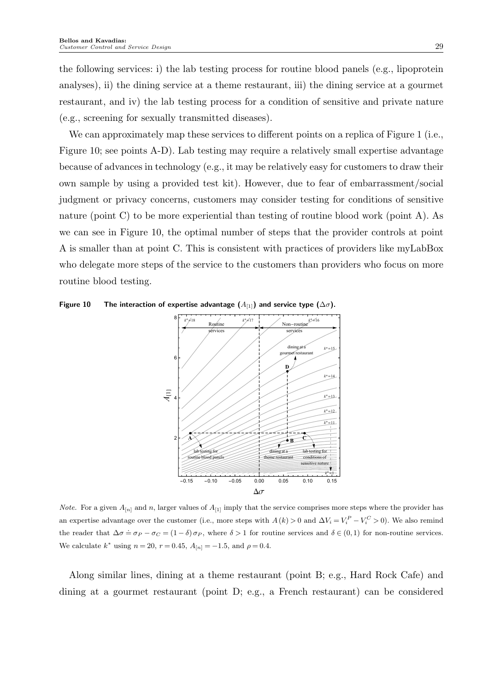the following services: i) the lab testing process for routine blood panels (e.g., lipoprotein analyses), ii) the dining service at a theme restaurant, iii) the dining service at a gourmet restaurant, and iv) the lab testing process for a condition of sensitive and private nature (e.g., screening for sexually transmitted diseases).

We can approximately map these services to different points on a replica of Figure 1 (i.e., Figure 10; see points A-D). Lab testing may require a relatively small expertise advantage because of advances in technology (e.g., it may be relatively easy for customers to draw their own sample by using a provided test kit). However, due to fear of embarrassment/social judgment or privacy concerns, customers may consider testing for conditions of sensitive nature (point C) to be more experiential than testing of routine blood work (point A). As we can see in Figure 10, the optimal number of steps that the provider controls at point A is smaller than at point C. This is consistent with practices of providers like myLabBox who delegate more steps of the service to the customers than providers who focus on more routine blood testing.





*Note.* For a given  $A_{[n]}$  and n, larger values of  $A_{[1]}$  imply that the service comprises more steps where the provider has an expertise advantage over the customer (i.e., more steps with  $A(k) > 0$  and  $\Delta V_i = V_i^P - V_i^C > 0$ ). We also remind the reader that  $\Delta \sigma = \sigma_P - \sigma_C = (1 - \delta) \sigma_P$ , where  $\delta > 1$  for routine services and  $\delta \in (0, 1)$  for non-routine services. We calculate  $k^*$  using  $n = 20$ ,  $r = 0.45$ ,  $A_{[n]} = -1.5$ , and  $\rho = 0.4$ .

Along similar lines, dining at a theme restaurant (point B; e.g., Hard Rock Cafe) and dining at a gourmet restaurant (point D; e.g., a French restaurant) can be considered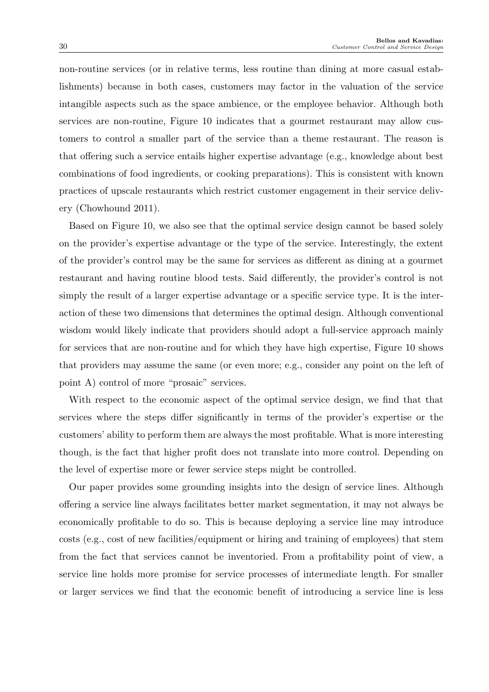non-routine services (or in relative terms, less routine than dining at more casual establishments) because in both cases, customers may factor in the valuation of the service intangible aspects such as the space ambience, or the employee behavior. Although both services are non-routine, Figure 10 indicates that a gourmet restaurant may allow customers to control a smaller part of the service than a theme restaurant. The reason is that offering such a service entails higher expertise advantage (e.g., knowledge about best combinations of food ingredients, or cooking preparations). This is consistent with known practices of upscale restaurants which restrict customer engagement in their service delivery (Chowhound 2011).

Based on Figure 10, we also see that the optimal service design cannot be based solely on the provider's expertise advantage or the type of the service. Interestingly, the extent of the provider's control may be the same for services as different as dining at a gourmet restaurant and having routine blood tests. Said differently, the provider's control is not simply the result of a larger expertise advantage or a specific service type. It is the interaction of these two dimensions that determines the optimal design. Although conventional wisdom would likely indicate that providers should adopt a full-service approach mainly for services that are non-routine and for which they have high expertise, Figure 10 shows that providers may assume the same (or even more; e.g., consider any point on the left of point A) control of more "prosaic" services.

With respect to the economic aspect of the optimal service design, we find that that services where the steps differ significantly in terms of the provider's expertise or the customers' ability to perform them are always the most profitable. What is more interesting though, is the fact that higher profit does not translate into more control. Depending on the level of expertise more or fewer service steps might be controlled.

Our paper provides some grounding insights into the design of service lines. Although offering a service line always facilitates better market segmentation, it may not always be economically profitable to do so. This is because deploying a service line may introduce costs (e.g., cost of new facilities/equipment or hiring and training of employees) that stem from the fact that services cannot be inventoried. From a profitability point of view, a service line holds more promise for service processes of intermediate length. For smaller or larger services we find that the economic benefit of introducing a service line is less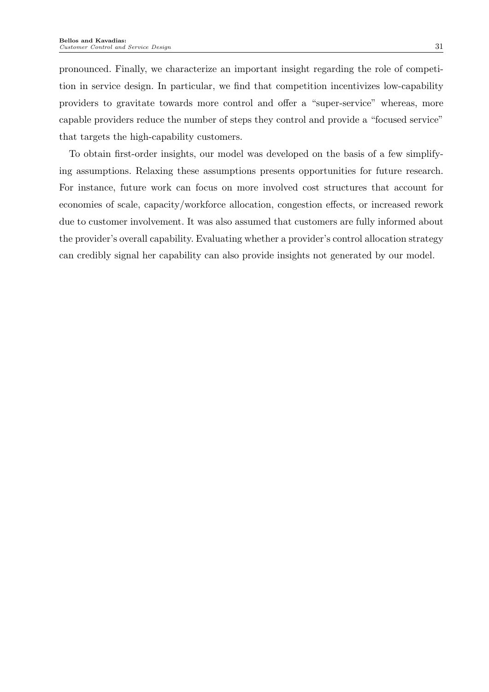that targets the high-capability customers.

To obtain first-order insights, our model was developed on the basis of a few simplifying assumptions. Relaxing these assumptions presents opportunities for future research. For instance, future work can focus on more involved cost structures that account for economies of scale, capacity/workforce allocation, congestion effects, or increased rework due to customer involvement. It was also assumed that customers are fully informed about the provider's overall capability. Evaluating whether a provider's control allocation strategy can credibly signal her capability can also provide insights not generated by our model.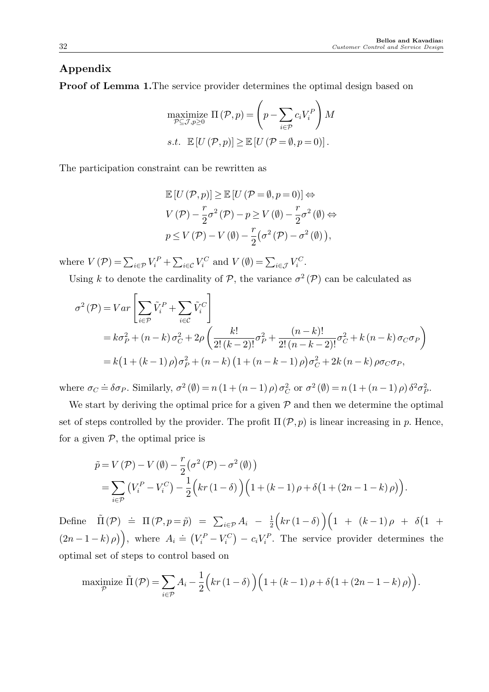# Appendix

Proof of Lemma 1.The service provider determines the optimal design based on

$$
\begin{aligned} &\underset{\mathcal{P}\subseteq\mathcal{J},p\geq 0}{\text{maximize}} \ \Pi\left(\mathcal{P},p\right) = \left(p - \sum_{i\in\mathcal{P}} c_i V_i^P\right) M \\ &s.t. \ \ \mathbb{E}\left[U\left(\mathcal{P},p\right)\right] \geq \mathbb{E}\left[U\left(\mathcal{P}=\emptyset,p=0\right)\right]. \end{aligned}
$$

The participation constraint can be rewritten as

$$
\mathbb{E}\left[U\left(\mathcal{P}, p\right)\right] \geq \mathbb{E}\left[U\left(\mathcal{P} = \emptyset, p = 0\right)\right] \Leftrightarrow
$$
\n
$$
V\left(\mathcal{P}\right) - \frac{r}{2}\sigma^2\left(\mathcal{P}\right) - p \geq V\left(\emptyset\right) - \frac{r}{2}\sigma^2\left(\emptyset\right) \Leftrightarrow
$$
\n
$$
p \leq V\left(\mathcal{P}\right) - V\left(\emptyset\right) - \frac{r}{2}\left(\sigma^2\left(\mathcal{P}\right) - \sigma^2\left(\emptyset\right)\right),
$$

where  $V(\mathcal{P}) = \sum_{i \in \mathcal{P}} V_i^P + \sum_{i \in \mathcal{C}} V_i^C$  and  $V(\emptyset) = \sum_{i \in \mathcal{J}} V_i^C$ .

Using k to denote the cardinality of  $P$ , the variance  $\sigma^2(P)$  can be calculated as

$$
\sigma^{2}(\mathcal{P}) = Var \left[ \sum_{i \in \mathcal{P}} \tilde{V}_{i}^{P} + \sum_{i \in \mathcal{C}} \tilde{V}_{i}^{C} \right]
$$
  
=  $k\sigma_{P}^{2} + (n - k)\sigma_{C}^{2} + 2\rho \left( \frac{k!}{2!(k-2)!} \sigma_{P}^{2} + \frac{(n-k)!}{2!(n-k-2)!} \sigma_{C}^{2} + k(n-k) \sigma_{C} \sigma_{P} \right)$   
=  $k(1 + (k-1)\rho)\sigma_{P}^{2} + (n - k)(1 + (n - k - 1)\rho)\sigma_{C}^{2} + 2k(n - k)\rho \sigma_{C} \sigma_{P},$ 

where  $\sigma_C \doteq \delta \sigma_P$ . Similarly,  $\sigma^2(\emptyset) = n(1 + (n-1)\rho)\sigma_C^2$  or  $\sigma^2(\emptyset) = n(1 + (n-1)\rho)\delta^2 \sigma_P^2$ .

We start by deriving the optimal price for a given  $P$  and then we determine the optimal set of steps controlled by the provider. The profit  $\Pi(\mathcal{P}, p)$  is linear increasing in p. Hence, for a given  $P$ , the optimal price is

$$
\tilde{p} = V(\mathcal{P}) - V(\emptyset) - \frac{r}{2} (\sigma^2(\mathcal{P}) - \sigma^2(\emptyset))
$$
  
= 
$$
\sum_{i \in \mathcal{P}} (V_i^P - V_i^C) - \frac{1}{2} (kr(1 - \delta)) (1 + (k - 1) \rho + \delta(1 + (2n - 1 - k) \rho)).
$$

Define  $\tilde{\Pi}(\mathcal{P}) \doteq \Pi(\mathcal{P}, p = \tilde{p}) = \sum_{i \in \mathcal{P}} A_i - \frac{1}{2}$  $\frac{1}{2} \Bigl( k r \left( 1 - \delta \right) \Bigr) \Bigl( 1 \,\,\, + \,\,\, \left( k - 1 \right) \rho \,\,\, + \,\,\, \delta \bigl( 1 \,\,\, + \,\,$  $(2n-1-k)\rho$ ), where  $A_i \doteq (V_i^P - V_i^C) - c_i V_i^P$ . The service provider determines the optimal set of steps to control based on

maximize 
$$
\tilde{\Pi}(\mathcal{P}) = \sum_{i \in \mathcal{P}} A_i - \frac{1}{2} \Big( kr \left( 1 - \delta \right) \Big) \Big( 1 + (k - 1) \rho + \delta \Big( 1 + (2n - 1 - k) \rho \Big) \Big).
$$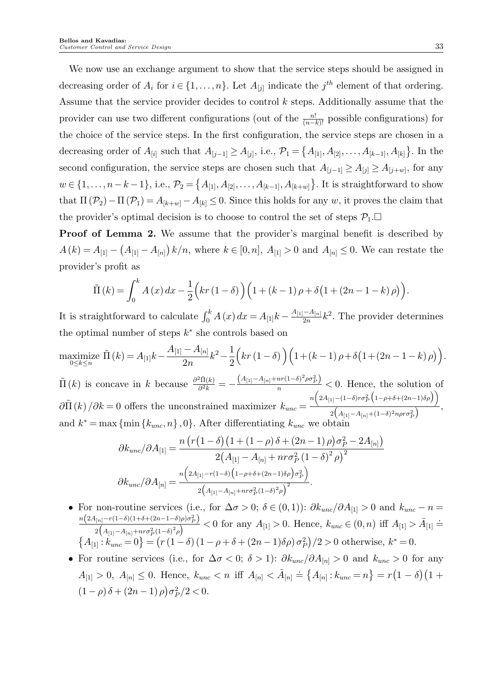We now use an exchange argument to show that the service steps should be assigned in decreasing order of  $A_i$  for  $i \in \{1, ..., n\}$ . Let  $A_{[j]}$  indicate the  $j<sup>th</sup>$  element of that ordering. Assume that the service provider decides to control  $k$  steps. Additionally assume that the provider can use two different configurations (out of the  $\frac{n!}{(n-k)!}$  possible configurations) for the choice of the service steps. In the first configuration, the service steps are chosen in a decreasing order of  $A_{[i]}$  such that  $A_{[j-1]} \ge A_{[j]}$ , i.e.,  $\mathcal{P}_1 = \{A_{[1]}, A_{[2]}, \ldots, A_{[k-1]}, A_{[k]}\}$ . In the second configuration, the service steps are chosen such that  $A_{[j-1]} \geq A_{[j]} \geq A_{[j+w]}$ , for any  $w \in \{1, \ldots, n-k-1\}, \text{ i.e., } \mathcal{P}_2 = \{A_{[1]}, A_{[2]}, \ldots, A_{[k-1]}, A_{[k+w]}\}.$  It is straightforward to show that  $\Pi(\mathcal{P}_2) - \Pi(\mathcal{P}_1) = A_{[k+w]} - A_{[k]} \leq 0$ . Since this holds for any w, it proves the claim that the provider's optimal decision is to choose to control the set of steps  $\mathcal{P}_1$ .

**Proof of Lemma 2.** We assume that the provider's marginal benefit is described by  $A(k) = A_{11} - (A_{11} - A_{1n}) k/n$ , where  $k \in [0, n]$ ,  $A_{11} > 0$  and  $A_{1n} \leq 0$ . We can restate the provider's profit as

$$
\tilde{\Pi}(k) = \int_0^k A(x) dx - \frac{1}{2} (kr (1 - \delta)) (1 + (k - 1) \rho + \delta (1 + (2n - 1 - k) \rho)).
$$

It is straightforward to calculate  $\int_0^k A(x) dx = A_{[1]}k - \frac{A_{[1]} - A_{[n]}}{2n}$  $\frac{1-A_{[n]}}{2n}k^2$ . The provider determines the optimal number of steps  $k^*$  she controls based on

maximize 
$$
\tilde{\Pi}(k) = A_{[1]}k - \frac{A_{[1]} - A_{[n]}}{2n}k^2 - \frac{1}{2}\left(kr(1-\delta)\right)\left(1 + (k-1)\rho + \delta(1 + (2n-1-k)\rho)\right).
$$

 $ilde{\Pi}(k)$  is concave in k because  $\frac{\partial^2 \tilde{\Pi}(k)}{\partial^2 k}$  $\frac{\partial^2 \tilde{\Pi}(k)}{\partial^2 k} = -\frac{(A_{[1]}-A_{[n]}+nr(1-\delta)^2\rho\sigma_P^2)}{n} < 0.$  Hence, the solution of  $\partial \tilde{\Pi}(k)/\partial k = 0$  offers the unconstrained maximizer  $k_{unc} = \frac{n(2A_{[1]}-(1-\delta) \sigma \sigma_P^2 (1-\rho+\delta+(2n-1)\delta \rho))}{2(n-1)(\sigma P)}$  $\frac{1}{2\left(A_{[1]}-A_{[n]}+(1-\delta)^2 n \rho r \sigma_P^2\right)},$ and  $k^* = \max \{\min \{k_{unc}, n\}, 0\}$ . After differentiating  $k_{unc}$  we obtain

$$
\partial k_{unc}/\partial A_{[1]} = \frac{n\left(r\left(1-\delta\right)\left(1+(1-\rho)\,\delta+(2n-1)\,\rho\right)\sigma_P^2 - 2A_{[n]}\right)}{2\left(A_{[1]}-A_{[n]}+nr\sigma_P^2\left(1-\delta\right)^2\rho\right)^2}
$$

$$
\partial k_{unc}/\partial A_{[n]} = \frac{n\left(2A_{[1]}-r(1-\delta)\left(1-\rho+\delta+(2n-1)\delta\rho\right)\sigma_P^2\right)}{2\left(A_{[1]}-A_{[n]}+nr\sigma_P^2(1-\delta)^2\rho\right)^2}.
$$

- For non-routine services (i.e., for  $\Delta \sigma > 0$ ;  $\delta \in (0,1)$ ):  $\partial k_{unc}/\partial A_{[1]} > 0$  and  $k_{unc} n =$  $n(2A_{[n]}-r(1-\delta)(1+\delta+(2n-1-\delta)\rho)\sigma_P^2)$  $\frac{\Delta_{[n]} - r(1-\delta)(1+\delta + (2n-1-\delta)\rho)\sigma_P^2)}{2\left(A_{[1]} - A_{[n]} + nr\sigma_P^2(1-\delta)^2\rho\right)} < 0$  for any  $A_{[1]} > 0$ . Hence,  $k_{unc} \in (0, n)$  iff  $A_{[1]} > \bar{A}_{[1]} = 0$  ${A_{[1]}: k_{unc} = 0} = (r(1 - \delta)(1 - \rho + \delta + (2n - 1)\delta\rho)\sigma_P^2)/2 > 0$  otherwise,  $k^* = 0$ .
- For routine services (i.e., for  $\Delta \sigma < 0$ ;  $\delta > 1$ ):  $\partial k_{unc}/\partial A_{[n]} > 0$  and  $k_{unc} > 0$  for any  $A_{[1]} > 0, A_{[n]} \leq 0.$  Hence,  $k_{unc} < n$  iff  $A_{[n]} < \overline{A}_{[n]} \doteq \{A_{[n]} : k_{unc} = n\} = r(1-\delta)(1+\delta)$  $(1 - \rho) \delta + (2n - 1) \rho \sigma_P^2 / 2 < 0.$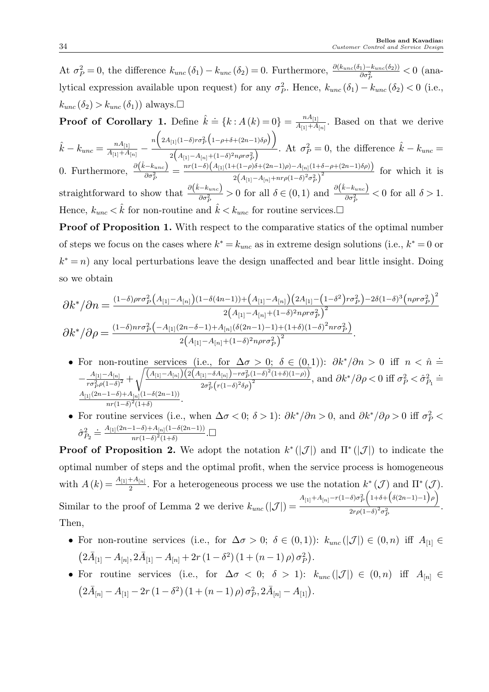At  $\sigma_P^2 = 0$ , the difference  $k_{unc}(\delta_1) - k_{unc}(\delta_2) = 0$ . Furthermore,  $\frac{\partial (k_{unc}(\delta_1) - k_{unc}(\delta_2))}{\partial \sigma_P^2} < 0$  (analytical expression available upon request) for any  $\sigma_P^2$ . Hence,  $k_{unc}(\delta_1) - k_{unc}(\delta_2) < 0$  (i.e.,  $k_{unc}(\delta_2) > k_{unc}(\delta_1)$  always.  $\square$ 

**Proof of Corollary 1.** Define  $\hat{k} \doteq \{k : A(k) = 0\} = \frac{nA_{[1]}}{A_{k+1}A_{[2]}}$  $\frac{nA_{[1]}}{A_{[1]}+A_{[n]}}$ . Based on that we derive  $\hat{k} - k_{unc} = \frac{n A_{[1]}}{A_{[1]} + A}$  $\frac{nA_{[1]}}{A_{[1]}+A_{[n]}}$  –  $n\left(2A_{[1]}(1-\delta)r\sigma_P^2\left(1-\rho+\delta+(2n-1)\delta\rho\right)\right)$  $\frac{2(A_{[1]}-A_{[n]}+(1-\delta)^2 n \rho r \sigma_P^2)}{2(A_{[1]}-A_{[n]}+(1-\delta)^2 n \rho r \sigma_P^2)}$ . At  $\sigma_P^2=0$ , the difference  $\hat{k}-k_{unc}=$ 0. Furthermore,  $\frac{\partial (\hat{k}-k_{unc})}{\partial \sigma_P^2} = \frac{nr(1-\delta)\left(A_{[1]}(1+(1-\rho)\delta+(2n-1)\rho) - A_{[n]}(1+\delta-\rho+(2n-1)\delta\rho)\right)}{2\left(A_{[1]}-A_{[n]}+nr\rho(1-\delta)^2\sigma_P^2\right)^2}$  $2(A_{[1]}-A_{[n]}+nr\rho(1-\delta)^2\sigma_P^2)$  $\frac{1}{2}$  for which it is straightforward to show that  $\frac{\partial (\hat{k}-k_{unc})}{\partial \sigma_P^2} > 0$  for all  $\delta \in (0,1)$  and  $\frac{\partial (\hat{k}-k_{unc})}{\partial \sigma_P^2} < 0$  for all  $\delta > 1$ . Hence,  $k_{unc} < \hat{k}$  for non-routine and  $\hat{k} < k_{unc}$  for routine services.

Proof of Proposition 1. With respect to the comparative statics of the optimal number of steps we focus on the cases where  $k^* = k_{unc}$  as in extreme design solutions (i.e.,  $k^* = 0$  or  $k^* = n$ ) any local perturbations leave the design unaffected and bear little insight. Doing so we obtain

$$
\partial k^* / \partial n = \frac{(1-\delta)\rho r \sigma_P^2 (A_{[1]} - A_{[n]}) (1 - \delta(4n-1)) + (A_{[1]} - A_{[n]}) (2A_{[1]} - (1-\delta^2) r \sigma_P^2) - 2\delta(1-\delta)^3 (n\rho r \sigma_P^2)^2}{2(A_{[1]} - A_{[n]} + (1-\delta)^2 n\rho r \sigma_P^2)^2}
$$

$$
\partial k^* / \partial \rho = \frac{(1-\delta)n r \sigma_P^2 (-A_{[1]}(2n-\delta-1) + A_{[n]}(\delta(2n-1)-1) + (1+\delta)(1-\delta)^2 n r \sigma_P^2)}{2(A_{[1]} - A_{[n]} + (1-\delta)^2 n\rho r \sigma_P^2)^2}.
$$

- For non-routine services (i.e., for  $\Delta \sigma > 0$ ;  $\delta \in (0,1)$ ):  $\partial k^* / \partial n > 0$  iff  $n < \hat{n} \doteq$  $-\frac{A_{[1]}-A_{[n]}}{\pi r^2\cdot (1-\delta)}$  $\frac{A_{[1]}-A_{[n]}}{r\sigma_P^2\rho(1-\delta)^2}+$  $\sqrt{\big(A_{[1]}-A_{[n]}\big)\big(2\big(A_{[1]}-\delta A_{[n]}\big)-r\sigma_P^2(1-\delta)^2(1+\delta)(1-\rho)\big)}$  $\frac{1}{2\sigma_P^2 (r(1-\delta)^2 \delta \rho)^2} \frac{1}{2\sigma_P^2 (r(1-\delta)^2 \delta \rho)^2}$ , and  $\partial k^* / \partial \rho < 0$  iff  $\sigma_P^2 < \hat{\sigma}_{P_1}^2 =$  $A_{[1]}(2n-1-\delta)+A_{[n]}(1-\delta(2n-1))$  $\frac{n\tau(1-\delta)^2(1+\delta)}{n\tau(1-\delta)^2(1+\delta)}.$
- For routine services (i.e., when  $\Delta \sigma < 0$ ;  $\delta > 1$ ):  $\partial k^* / \partial n > 0$ , and  $\partial k^* / \partial \rho > 0$  iff  $\sigma_P^2 <$  $\hat{\sigma}_{P_2}^2 \doteq \frac{A_{[1]}(2n-1-\delta) + A_{[n]}(1-\delta(2n-1))}{nr(1-\delta)^2(1+\delta)}$  $\frac{1-\delta)+A_{[n]}(1-\delta(2n-1))}{nr(1-\delta)^2(1+\delta)}$ .

**Proof of Proposition 2.** We adopt the notation  $k^*([\mathcal{J}])$  and  $\Pi^*([\mathcal{J}])$  to indicate the optimal number of steps and the optimal profit, when the service process is homogeneous with  $A(k) = \frac{A_{[1]} + A_{[n]}}{2}$ . For a heterogeneous process we use the notation  $k^*(\mathcal{J})$  and  $\Pi^*(\mathcal{J})$ . Similar to the proof of Lemma 2 we derive  $k_{unc}(|\mathcal{J}|) =$  $A_{[1]}+A_{[n]}-r(1-\delta)\sigma_P^2\left(1+\delta+\left(\delta(2n-1)-1\right)\rho\right)$  $\frac{(1-\delta)^2 \sigma_P^2}{2r\rho(1-\delta)^2 \sigma_P^2}$ . Then,

- For non-routine services (i.e., for  $\Delta \sigma > 0$ ;  $\delta \in (0,1)$ ):  $k_{unc}(|\mathcal{J}|) \in (0,n)$  iff  $A_{[1]} \in$  $\left(2\bar{A}_{\left[1\right]}-A_{\left[n\right]},2\bar{A}_{\left[1\right]}-A_{\left[n\right]}+2r\left(1-\delta^2\right)\left(1+\left(n-1\right)\rho\right)\sigma_P^2\right).$
- For routine services (i.e., for  $\Delta \sigma < 0$ ;  $\delta > 1$ ):  $k_{unc}(|\mathcal{J}|) \in (0,n)$  iff  $A_{[n]} \in$  $(2\bar{A}_{[n]} - A_{[1]} - 2r(1-\delta^2)(1+(n-1)\rho)\sigma_P^2, 2\bar{A}_{[n]} - A_{[1]}).$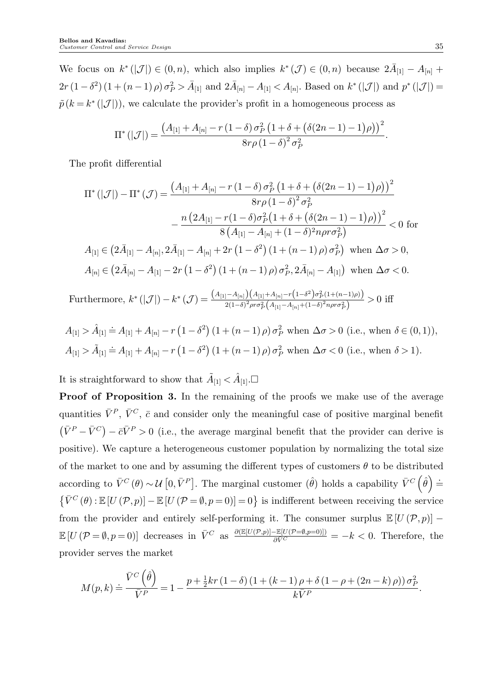We focus on  $k^*(\mathcal{J}) \in (0,n)$ , which also implies  $k^*(\mathcal{J}) \in (0,n)$  because  $2\overline{A}_{[1]} - A_{[n]} +$  $2r(1-\delta^2)(1+(n-1)\rho)\sigma_P^2 > \bar{A}_{[1]}$  and  $2\bar{A}_{[n]} - A_{[1]} < A_{[n]}$ . Based on  $k^*(|\mathcal{J}|)$  and  $p^*(|\mathcal{J}|) =$  $\tilde{p}(k = k^*(|\mathcal{J}|))$ , we calculate the provider's profit in a homogeneous process as

$$
\Pi^* (|\mathcal{J}|) = \frac{\left(A_{[1]} + A_{[n]} - r(1-\delta)\sigma_P^2\left(1+\delta+\left(\delta(2n-1)-1\right)\rho\right)\right)^2}{8r\rho\left(1-\delta\right)^2\sigma_P^2}.
$$

The profit differential

$$
\Pi^* (|\mathcal{J}|) - \Pi^* (\mathcal{J}) = \frac{\left(A_{[1]} + A_{[n]} - r(1-\delta)\sigma_P^2 \left(1+\delta+\left(\delta(2n-1)-1\right)\rho\right)\right)^2}{8r\rho\left(1-\delta\right)^2 \sigma_P^2} - \frac{n\left(2A_{[1]} - r(1-\delta)\sigma_P^2 \left(1+\delta+\left(\delta(2n-1)-1\right)\rho\right)\right)^2}{8\left(A_{[1]} - A_{[n]} + (1-\delta)^2 n\rho r \sigma_P^2\right)} < 0 \text{ for}
$$
\n
$$
A_{[1]} \in \left(2\bar{A}_{[1]} - A_{[n]}, 2\bar{A}_{[1]} - A_{[n]} + 2r\left(1-\delta^2\right)\left(1+(n-1)\rho\right)\sigma_P^2\right) \text{ when } \Delta\sigma > 0,
$$
\n
$$
A_{[n]} \in \left(2\bar{A}_{[n]} - A_{[1]} - 2r\left(1-\delta^2\right)\left(1+(n-1)\rho\right)\sigma_P^2, 2\bar{A}_{[n]} - A_{[1]}\right) \text{ when } \Delta\sigma < 0.
$$

Furthermore,  $k^*(|\mathcal{J}|) - k^* (\mathcal{J}) = \frac{(A_{[1]} - A_{[n]}) (A_{[1]} + A_{[n]} - r(1-\delta^2)\sigma_P^2 (1+(n-1)\rho))}{2(1-\delta^2)\sigma_P^2 (1-(1-\delta^2)\sigma_P^2 (1+(n-1)\rho))}$  $\frac{2(1-\delta)^2 \rho r \sigma_P^2 (A_{[1]}-A_{[n]}+(1-\delta)^2 n \rho r \sigma_P^2)}{2(1-\delta)^2 \rho r \sigma_P^2 (A_{[1]}-A_{[n]}+(1-\delta)^2 n \rho r \sigma_P^2)} > 0$  iff

$$
A_{[1]} > \hat{A}_{[1]} \doteq A_{[1]} + A_{[n]} - r(1 - \delta^2)(1 + (n - 1)\rho)\sigma_P^2
$$
 when  $\Delta\sigma > 0$  (i.e., when  $\delta \in (0, 1)$ ),  
\n $A_{[1]} > \tilde{A}_{[1]} \doteq A_{[1]} + A_{[n]} - r(1 - \delta^2)(1 + (n - 1)\rho)\sigma_P^2$  when  $\Delta\sigma < 0$  (i.e., when  $\delta > 1$ ).

It is straightforward to show that  $\tilde{A}_{[1]} < \hat{A}_{[1]}$ .

Proof of Proposition 3. In the remaining of the proofs we make use of the average quantities  $\bar{V}^P$ ,  $\bar{V}^C$ ,  $\bar{c}$  and consider only the meaningful case of positive marginal benefit  $(\bar{V}^P - \bar{V}^C) - \bar{c}\bar{V}^P > 0$  (i.e., the average marginal benefit that the provider can derive is positive). We capture a heterogeneous customer population by normalizing the total size of the market to one and by assuming the different types of customers  $\theta$  to be distributed according to  $\bar{V}^C(\theta) \sim \mathcal{U}[0, \bar{V}^P]$ . The marginal customer  $(\hat{\theta})$  holds a capability  $\bar{V}^C(\hat{\theta}) \doteq$  $\{\bar{V}^C(\theta): \mathbb{E}[U(\mathcal{P},p)] - \mathbb{E}[U(\mathcal{P}=\emptyset,p=0)] = 0\}$  is indifferent between receiving the service from the provider and entirely self-performing it. The consumer surplus  $\mathbb{E}[U(\mathcal{P},p)]$  –  $\mathbb{E}[U(\mathcal{P}=\emptyset, p=0)]$  decreases in  $\overline{V}^C$  as  $\frac{\partial(\mathbb{E}[U(\mathcal{P},p)]-\mathbb{E}[U(\mathcal{P}=\emptyset, p=0)])}{\partial \overline{V}^C} = -k < 0$ . Therefore, the provider serves the market

$$
M(p,k) \doteq \frac{\bar{V}^C\left(\hat{\theta}\right)}{\bar{V}^P} = 1 - \frac{p + \frac{1}{2}kr\left(1 - \delta\right)\left(1 + \left(k - 1\right)\rho + \delta\left(1 - \rho + \left(2n - k\right)\rho\right)\right)\sigma_P^2}{k\bar{V}^P}.
$$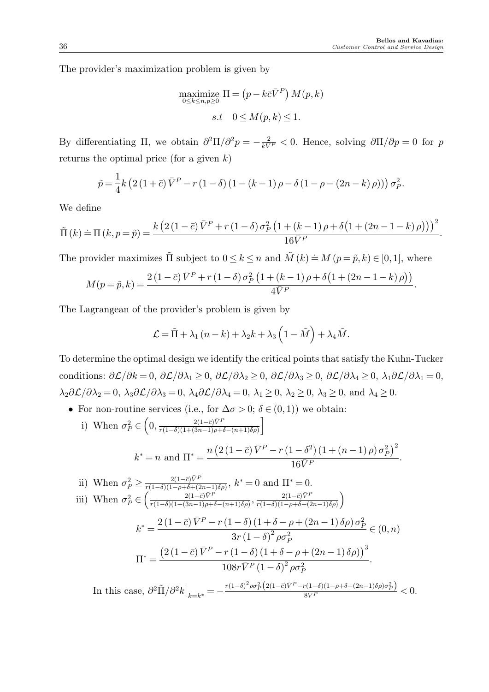The provider's maximization problem is given by

$$
\begin{aligned} \underset{0 \le k \le n, p \ge 0}{\text{maximize}} \ \Pi &= \left(p - k\bar{c}\bar{V}^P\right)M(p, k) \\ s.t \quad 0 \le M(p, k) \le 1. \end{aligned}
$$

By differentiating  $\Pi$ , we obtain  $\partial^2\Pi/\partial^2 p = -\frac{2}{kV^P} < 0$ . Hence, solving  $\partial\Pi/\partial p = 0$  for p returns the optimal price (for a given  $k$ )

$$
\tilde{p} = \frac{1}{4}k\left(2\left(1+\bar{c}\right)\bar{V}^P - r\left(1-\delta\right)\left(1-\left(k-1\right)\rho - \delta\left(1-\rho - \left(2n-k\right)\rho\right)\right)\right)\sigma_P^2.
$$

We define

$$
\tilde{\Pi}(k) \doteq \Pi(k, p = \tilde{p}) = \frac{k\left(2\left(1-\bar{c}\right)\bar{V}^P + r\left(1-\delta\right)\sigma_P^2\left(1+\left(k-1\right)\rho + \delta\left(1+\left(2n-1-k\right)\rho\right)\right)\right)^2}{16\bar{V}^P}.
$$

The provider maximizes  $\tilde{\Pi}$  subject to  $0 \le k \le n$  and  $\tilde{M}(k) \doteq M(p = \tilde{p}, k) \in [0, 1]$ , where

$$
M(p=\tilde{p},k) = \frac{2\left(1-\bar{c}\right)\bar{V}^P + r\left(1-\delta\right)\sigma_P^2\left(1+\left(k-1\right)\rho + \delta\left(1+\left(2n-1-k\right)\rho\right)\right)}{4\bar{V}^P}.
$$

The Lagrangean of the provider's problem is given by

$$
\mathcal{L} = \tilde{\Pi} + \lambda_1 (n - k) + \lambda_2 k + \lambda_3 \left( 1 - \tilde{M} \right) + \lambda_4 \tilde{M}.
$$

To determine the optimal design we identify the critical points that satisfy the Kuhn-Tucker conditions:  $\partial \mathcal{L}/\partial k = 0$ ,  $\partial \mathcal{L}/\partial \lambda_1 \geq 0$ ,  $\partial \mathcal{L}/\partial \lambda_2 \geq 0$ ,  $\partial \mathcal{L}/\partial \lambda_3 \geq 0$ ,  $\partial \mathcal{L}/\partial \lambda_4 \geq 0$ ,  $\lambda_1 \partial \mathcal{L}/\partial \lambda_1 = 0$ ,  $\lambda_2 \partial \mathcal{L}/\partial \lambda_2 = 0$ ,  $\lambda_3 \partial \mathcal{L}/\partial \lambda_3 = 0$ ,  $\lambda_4 \partial \mathcal{L}/\partial \lambda_4 = 0$ ,  $\lambda_1 \ge 0$ ,  $\lambda_2 \ge 0$ ,  $\lambda_3 \ge 0$ , and  $\lambda_4 \ge 0$ .

• For non-routine services (i.e., for  $\Delta \sigma > 0$ ;  $\delta \in (0,1)$ ) we obtain:

i) When 
$$
\sigma_P^2 \in \left(0, \frac{2(1-\bar{c})\bar{V}^P}{r(1-\delta)(1+(3n-1)\rho+\delta-(n+1)\delta\rho)}\right]
$$
  
\n
$$
k^* = n \text{ and } \Pi^* = \frac{n\left(2\left(1-\bar{c}\right)\bar{V}^P - r\left(1-\delta^2\right)\left(1+(n-1)\rho\right)\sigma_P^2\right)^2}{16\bar{V}^P}.
$$
\nii) When  $\sigma_P^2 \ge \frac{2(1-\bar{c})\bar{V}^P}{r(1-\delta)(1-\rho+\delta+(2n-1)\delta\rho)}, k^* = 0 \text{ and } \Pi^* = 0.$   
\niii) When  $\sigma_P^2 \in \left(\frac{2(1-\bar{c})\bar{V}^P}{r(1-\delta)(1+(3n-1)\rho+\delta-(n+1)\delta\rho)}, \frac{2(1-\bar{c})\bar{V}^P}{r(1-\delta)(1-\rho+\delta+(2n-1)\delta\rho)}\right)$   
\n
$$
k^* = \frac{2\left(1-\bar{c}\right)\bar{V}^P - r\left(1-\delta\right)\left(1+\delta-\rho+(2n-1)\delta\rho\right)\sigma_P^2}{3r\left(1-\delta\right)^2\rho\sigma_P^2} \in (0, n)
$$
  
\n
$$
\Pi^* = \frac{\left(2\left(1-\bar{c}\right)\bar{V}^P - r\left(1-\delta\right)\left(1+\delta-\rho+(2n-1)\delta\rho\right)\right)^3}{3r\left(1-\delta\right)^2\rho\sigma_P^2}.
$$

In this case,  $\partial^2 \tilde{\Pi}/\partial^2 k\big|_{k=k^*} = -\frac{r(1-\delta)^2 \rho \sigma_P^2 (2(1-\bar{c})\bar{V}^P - r(1-\delta)(1-\rho+\delta+(2n-1)\delta\rho)\sigma_P^2)}{8\bar{V}^P} < 0.$ 

 $108r\bar{V}^P\left(1-\delta\right)^2\rho\sigma_F^2$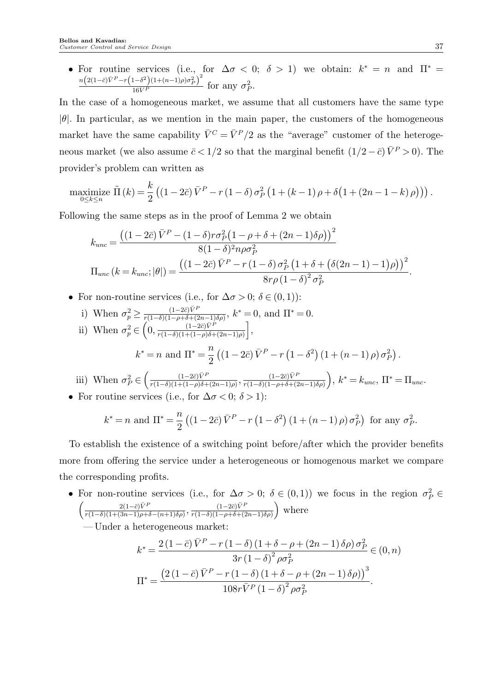• For routine services (i.e., for  $\Delta \sigma < 0$ ;  $\delta > 1$ ) we obtain:  $k^* = n$  and  $\Pi^* =$  $n\Big(2(1-\bar{c})\bar{V}^P\!-\!r\Big(1\!-\!\delta^2\Big)(1\!+\!(n\!-\!1)\rho)\sigma_P^2\Big)^2$  $\frac{1-\sigma}{16\bar{V}P}$  for any  $\sigma_P^2$ .

In the case of a homogeneous market, we assume that all customers have the same type  $|\theta|$ . In particular, as we mention in the main paper, the customers of the homogeneous market have the same capability  $\bar{V}^C = \bar{V}^P/2$  as the "average" customer of the heterogeneous market (we also assume  $\bar{c}$  < 1/2 so that the marginal benefit  $(1/2 - \bar{c})\bar{V}^P > 0$ ). The provider's problem can written as

maximize 
$$
\tilde{\Pi}(k) = \frac{k}{2} \left( \left(1 - 2\bar{c}\right) \bar{V}^P - r\left(1 - \delta\right) \sigma_P^2 \left(1 + (k-1)\rho + \delta\left(1 + \left(2n - 1 - k\right)\rho\right)\right) \right).
$$

Following the same steps as in the proof of Lemma 2 we obtain

$$
k_{unc} = \frac{\left((1-2\bar{c})\bar{V}^P - (1-\delta)r\sigma_P^2(1-\rho+\delta+(2n-1)\delta\rho)\right)^2}{8(1-\delta)^2n\rho\sigma_P^2}
$$

$$
\Pi_{unc}\left(k = k_{unc}; |\theta|\right) = \frac{\left((1-2\bar{c})\bar{V}^P - r(1-\delta)\sigma_P^2(1+\delta+(\delta(2n-1)-1)\rho)\right)^2}{8r\rho(1-\delta)^2\sigma_P^2}.
$$

- For non-routine services (i.e., for  $\Delta \sigma > 0$ ;  $\delta \in (0,1)$ ):
	- i) When  $\sigma_p^2 \geq \frac{(1-2\bar{c})\bar{V}^F}{r(1-\delta)(1-\rho+\delta+\epsilon)^2}$  $\frac{(1-2\bar{c})V^{\bar{r}}}{r(1-\delta)(1-\rho+\delta+(2n-1)\delta\rho)}, k^* = 0$ , and  $\Pi^* = 0$ . ii) When  $\sigma_p^2 \in \left(0, \frac{(1-2\bar{c})\bar{V}^{\bar{P}}}{r(1-\delta)(1+(1-\rho)\delta + \rho)}\right)$  $\frac{(1-2\bar{c})\bar{V}^P}{r(1-\delta)(1+(1-\rho)\delta+(2n-1)\rho)}\Bigg],$  $k^* = n$  and  $\Pi^* = \frac{n}{2}$ 2  $((1 - 2\bar{c})\bar{V}^P - r(1 - \delta^2)(1 + (n - 1)\rho)\sigma_P^2).$ iii) When  $\sigma_P^2 \in \left( \frac{(1-2\bar{c})\bar{V}^F}{r(1-\delta)(1+(1-\rho)\delta + \rho)} \right)$  $\frac{(1-2\bar{c})\bar{V}^P}{r(1-\delta)(1+(1-\rho)\delta+(2n-1)\rho)}, \frac{(1-2\bar{c})\bar{V}^F}{r(1-\delta)(1-\rho+\delta+(2n-1)\rho)}$  $\frac{(1-2\bar{c})\bar{V}^P}{r(1-\delta)(1-\rho+\delta+(2n-1)\delta\rho)}$ ,  $k^* = k_{unc}$ ,  $\Pi^* = \Pi_{unc}$ .

• For routine services (i.e., for  $\Delta \sigma < 0$ ;  $\delta > 1$ )

$$
k^* = n
$$
 and  $\Pi^* = \frac{n}{2} ((1 - 2\bar{c}) \bar{V}^P - r (1 - \delta^2) (1 + (n - 1) \rho) \sigma_P^2)$  for any  $\sigma_P^2$ .

To establish the existence of a switching point before/after which the provider benefits more from offering the service under a heterogeneous or homogenous market we compare the corresponding profits.

• For non-routine services (i.e., for  $\Delta \sigma > 0$ ;  $\delta \in (0,1)$ ) we focus in the region  $\sigma_P^2 \in$  $\int \frac{2(1-\bar{c})\bar{V}^P}{\sqrt{2\pi}}$  $\frac{2(1-\bar{c})\bar{V}^P}{r(1-\delta)(1+(3n-1)\rho+\delta-(n+1)\delta\rho)}, \frac{(1-2\bar{c})\bar{V}^P}{r(1-\delta)(1-\rho+\delta+(2\bar{c}))}$  $\frac{(1-2\bar{c})\bar{V}^P}{r(1-\delta)(1-\rho+\delta+(2n-1)\delta\rho)}$  where

—Under a heterogeneous market:

$$
k^* = \frac{2\left(1-\bar{c}\right)\bar{V}^P - r\left(1-\delta\right)\left(1+\delta-\rho+\left(2n-1\right)\delta\rho\right)\sigma_P^2}{3r\left(1-\delta\right)^2\rho\sigma_P^2} \in (0, n)
$$

$$
\Pi^* = \frac{\left(2\left(1-\bar{c}\right)\bar{V}^P - r\left(1-\delta\right)\left(1+\delta-\rho+\left(2n-1\right)\delta\rho\right)\right)^3}{108r\bar{V}^P\left(1-\delta\right)^2\rho\sigma_P^2}.
$$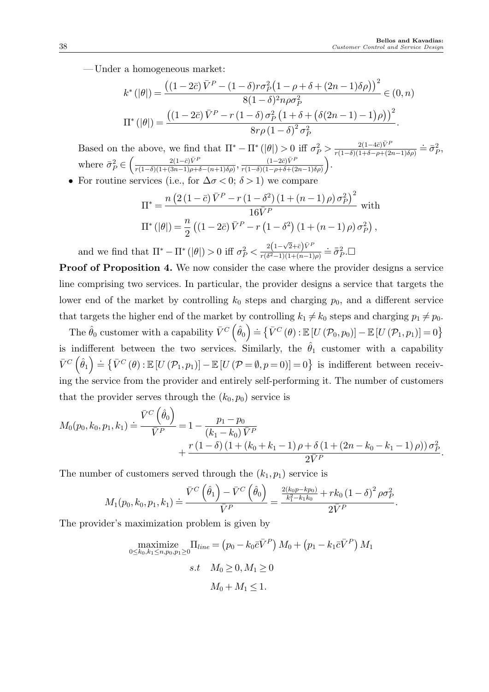.

—Under a homogeneous market:

$$
k^*(|\theta|) = \frac{\left((1-2\bar{c})\,\bar{V}^P - (1-\delta)r\sigma_P^2\left(1-\rho+\delta+(2n-1)\delta\rho\right)\right)^2}{8(1-\delta)^2n\rho\sigma_P^2} \in (0,n)
$$

$$
\Pi^*(|\theta|) = \frac{\left((1-2\bar{c})\,\bar{V}^P - r\left(1-\delta\right)\sigma_P^2\left(1+\delta+\left(\delta(2n-1)-1\right)\rho\right)\right)^2}{8r\rho\left(1-\delta\right)^2\sigma_P^2}.
$$

Based on the above, we find that  $\Pi^* - \Pi^* (\vert \theta \vert) > 0$  iff  $\sigma_P^2 > \frac{2(1-4\bar{c})\bar{V}^F}{r(1-\delta)(1+\delta-\rho+2)}$  $\frac{2(1-4\bar{c})\bar{V}^P}{r(1-\delta)(1+\delta-\rho+(2n-1)\delta\rho)} \doteq \bar{\sigma}_P^2,$ where  $\bar{\sigma}_P^2 \in \left( \frac{2(1-\bar{c})\bar{V}^P}{r(1-\delta)(1+(3n-1)\rho + \delta)} \right)$  $\frac{2(1-\bar{c})\bar{V}^P}{r(1-\delta)(1+(3n-1)\rho+\delta-(n+1)\delta\rho)}, \frac{(1-2\bar{c})\bar{V}^P}{r(1-\delta)(1-\rho+\delta+(2\bar{c}))}$  $\frac{(1-2\bar{c})\bar{V}^P}{r(1-\delta)(1-\rho+\delta+(2n-1)\delta\rho)}\bigg).$ • For routine services (i.e., for  $\Delta \sigma < 0$ ;  $\delta > 1$ ) we compare

$$
\Pi^* = \frac{n\left(2\left(1-\bar{c}\right)\bar{V}^P - r\left(1-\delta^2\right)\left(1+\left(n-1\right)\rho\right)\sigma_P^2\right)^2}{16\bar{V}^P} \text{ with}
$$

$$
\Pi^*\left(\left|\theta\right|\right) = \frac{n}{2}\left(\left(1-2\bar{c}\right)\bar{V}^P - r\left(1-\delta^2\right)\left(1+\left(n-1\right)\rho\right)\sigma_P^2\right),
$$

and we find that  $\Pi^* - \Pi^* (\|\theta\|) > 0$  iff  $\sigma_P^2 < \frac{2(1-\sqrt{2}+\bar{c})\bar{V}^F}{r(\delta^2-1)(1+(n-1))}$  $\frac{2(1-\sqrt{2}+\bar{c})\bar{V}^P}{r(\delta^2-1)(1+(n-1)\rho)} \doteq \bar{\bar{\sigma}}_P^2.$ 

Proof of Proposition 4. We now consider the case where the provider designs a service line comprising two services. In particular, the provider designs a service that targets the lower end of the market by controlling  $k_0$  steps and charging  $p_0$ , and a different service that targets the higher end of the market by controlling  $k_1 \neq k_0$  steps and charging  $p_1 \neq p_0$ .

The  $\hat{\theta}_0$  customer with a capability  $\bar{V}^C\left(\hat{\theta}_0\right) \doteq \{ \bar{V}^C\left(\theta\right) : \mathbb{E}\left[U\left(\mathcal{P}_0, p_0\right)\right] - \mathbb{E}\left[U\left(\mathcal{P}_1, p_1\right) \right] = 0 \}$ is indifferent between the two services. Similarly, the  $\hat{\theta}_1$  customer with a capability  $\bar{V}^C(\hat{\theta}_1) \doteq \{ \bar{V}^C(\theta) : \mathbb{E}[U(\mathcal{P}_1, p_1)] - \mathbb{E}[U(\mathcal{P} = \emptyset, p = 0)] = 0 \}$  is indifferent between receiving the service from the provider and entirely self-performing it. The number of customers that the provider serves through the  $(k_0, p_0)$  service is

$$
M_0(p_0, k_0, p_1, k_1) \doteq \frac{\bar{V}^C(\hat{\theta}_0)}{\bar{V}^P} = 1 - \frac{p_1 - p_0}{(k_1 - k_0)\,\bar{V}^P} + \frac{r(1 - \delta)(1 + (k_0 + k_1 - 1)\,\rho + \delta(1 + (2n - k_0 - k_1 - 1)\,\rho))\,\sigma_P^2}{2\bar{V}^P}.
$$

The number of customers served through the  $(k_1, p_1)$  service is

$$
M_1(p_0, k_0, p_1, k_1) \doteq \frac{\bar{V}^C\left(\hat{\theta}_1\right) - \bar{V}^C\left(\hat{\theta}_0\right)}{\bar{V}^P} = \frac{\frac{2(k_0p - kp_0)}{k_1^2 - k_1k_0} + rk_0\left(1 - \delta\right)^2 \rho \sigma_P^2}{2\bar{V}^P}
$$

The provider's maximization problem is given by

maximize 
$$
\prod_{\substack{l_{0} \le k_{0}, k_{1} \le n, p_{0}, p_{1} \ge 0}} \prod_{\substack{l_{i} \le k_{0} \le k_{1} \le n, p_{0}, p_{1} \ge 0}} \prod_{\substack{l_{i} \ge k_{0} \le k_{1} \le k_{1} \le k_{1} \le k_{2} \le k_{2} \le k_{1} \le k_{2} \le k_{1} \le k_{2} \le k_{1} \le k_{2} \le k_{2} \le k_{1} \le k_{2} \le k_{1} \le k_{2} \le k_{1} \le k_{2} \le k_{2} \le k_{2} \le k_{2} \le k_{2} \le k_{2} \le k_{2} \le k_{2} \le k_{2} \le k_{2} \le k_{2} \le k_{2} \le k_{2} \le k_{2} \le k_{2} \le k_{2} \le k_{2} \le k_{2} \le k_{2} \le k_{2} \le k_{2} \le k_{2} \le k_{2} \le k_{2} \le k_{2} \le k_{2} \le k_{2} \le k_{2} \le k_{2} \le k_{2} \le k_{2} \le k_{2} \le k_{2} \le k_{2} \le k_{2} \le k_{2} \le k_{2} \le k_{2} \le k_{2} \le k_{2} \le k_{2} \le k_{2} \le k_{2} \le k_{2} \le k_{2} \le k_{2} \le k_{2} \le k_{2} \le k_{2} \le k_{2} \le k_{2} \le k_{2} \le k_{2} \le k_{2} \le k_{2} \le k_{2} \le k_{2} \le k_{2} \le k_{2} \le k_{2} \le k_{2} \le k_{2} \le k_{2} \le k_{2} \le k_{2} \le k_{2} \le k_{2} \le k_{2} \le k_{2} \le k_{2} \le k_{2} \le k_{2} \le k_{2} \le k_{2} \le k_{2} \le k_{2} \le k_{2} \le k_{2} \le k_{2} \le k_{2} \le k_{2} \le k_{2} \le k_{2} \le k_{2} \le k_{2} \le k_{2} \le k_{2} \le k_{2} \le k_{2} \le k_{2} \le k_{2} \le k_{2} \le k_{2} \le k_{2} \le k
$$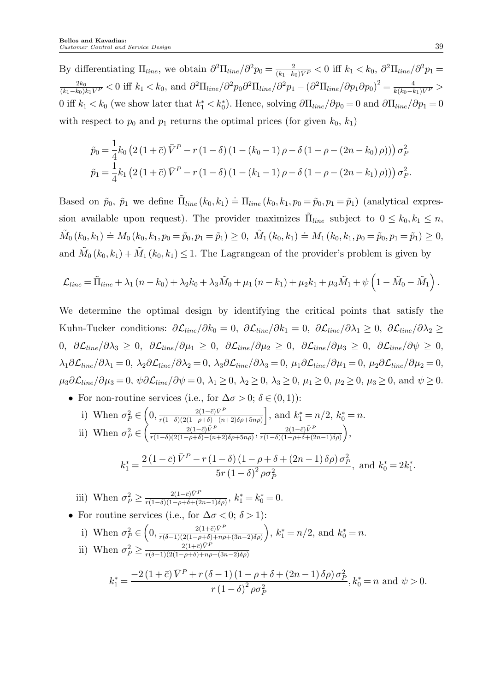By differentiating  $\Pi_{line}$ , we obtain  $\partial^2 \Pi_{line}/\partial^2 p_0 = \frac{2}{(k_1-k_0)\bar{V}^P} < 0$  iff  $k_1 < k_0$ ,  $\partial^2 \Pi_{line}/\partial^2 p_1 =$  $\frac{2k_0}{(k_1-k_0)k_1\bar{V}^P}$  < 0 iff  $k_1 < k_0$ , and  $\partial^2\Pi_{line}/\partial^2p_0\partial^2\Pi_{line}/\partial^2p_1 - (\partial^2\Pi_{line}/\partial p_1\partial p_0)^2 = \frac{4}{k(k_0-k_1)\bar{V}^P}$  > 0 iff  $k_1 < k_0$  (we show later that  $k_1^* < k_0^*$ ). Hence, solving  $\partial \Pi_{line}/\partial p_0 = 0$  and  $\partial \Pi_{line}/\partial p_1 = 0$ with respect to  $p_0$  and  $p_1$  returns the optimal prices (for given  $k_0, k_1$ )

$$
\tilde{p}_0 = \frac{1}{4} k_0 \left( 2 \left( 1 + \bar{c} \right) \bar{V}^P - r \left( 1 - \delta \right) \left( 1 - \left( k_0 - 1 \right) \rho - \delta \left( 1 - \rho - \left( 2n - k_0 \right) \rho \right) \right) \right) \sigma_P^2
$$
\n
$$
\tilde{p}_1 = \frac{1}{4} k_1 \left( 2 \left( 1 + \bar{c} \right) \bar{V}^P - r \left( 1 - \delta \right) \left( 1 - \left( k_1 - 1 \right) \rho - \delta \left( 1 - \rho - \left( 2n - k_1 \right) \rho \right) \right) \right) \sigma_P^2.
$$

Based on  $\tilde{p}_0$ ,  $\tilde{p}_1$  we define  $\tilde{\Pi}_{line}(k_0, k_1) \doteq \Pi_{line}(k_0, k_1, p_0 = \tilde{p}_0, p_1 = \tilde{p}_1)$  (analytical expression available upon request). The provider maximizes  $\tilde{\Pi}_{line}$  subject to  $0 \leq k_0, k_1 \leq n$ ,  $\tilde{M}_0(k_0, k_1) \doteq M_0(k_0, k_1, p_0 = \tilde{p}_0, p_1 = \tilde{p}_1) \geq 0, \ \tilde{M}_1(k_0, k_1) \doteq M_1(k_0, k_1, p_0 = \tilde{p}_0, p_1 = \tilde{p}_1) \geq 0,$ and  $\tilde{M}_0(k_0, k_1) + \tilde{M}_1(k_0, k_1) \leq 1$ . The Lagrangean of the provider's problem is given by

$$
\mathcal{L}_{line} = \tilde{\Pi}_{line} + \lambda_1 (n - k_0) + \lambda_2 k_0 + \lambda_3 \tilde{M}_0 + \mu_1 (n - k_1) + \mu_2 k_1 + \mu_3 \tilde{M}_1 + \psi \left( 1 - \tilde{M}_0 - \tilde{M}_1 \right).
$$

We determine the optimal design by identifying the critical points that satisfy the Kuhn-Tucker conditions:  $\partial \mathcal{L}_{line}/\partial k_0 = 0$ ,  $\partial \mathcal{L}_{line}/\partial k_1 = 0$ ,  $\partial \mathcal{L}_{line}/\partial \lambda_1 \geq 0$ ,  $\partial \mathcal{L}_{line}/\partial \lambda_2 \geq 0$ 0,  $\partial \mathcal{L}_{line}/\partial \lambda_3 \geq 0$ ,  $\partial \mathcal{L}_{line}/\partial \mu_1 \geq 0$ ,  $\partial \mathcal{L}_{line}/\partial \mu_2 \geq 0$ ,  $\partial \mathcal{L}_{line}/\partial \mu_3 \geq 0$ ,  $\partial \mathcal{L}_{line}/\partial \psi \geq 0$ ,  $\lambda_1 \partial \mathcal{L}_{line}/\partial \lambda_1 = 0$ ,  $\lambda_2 \partial \mathcal{L}_{line}/\partial \lambda_2 = 0$ ,  $\lambda_3 \partial \mathcal{L}_{line}/\partial \lambda_3 = 0$ ,  $\mu_1 \partial \mathcal{L}_{line}/\partial \mu_1 = 0$ ,  $\mu_2 \partial \mathcal{L}_{line}/\partial \mu_2 = 0$ ,  $\mu_3 \partial \mathcal{L}_{line}/\partial \mu_3 = 0$ ,  $\psi \partial \mathcal{L}_{line}/\partial \psi = 0$ ,  $\lambda_1 \geq 0$ ,  $\lambda_2 \geq 0$ ,  $\lambda_3 \geq 0$ ,  $\mu_1 \geq 0$ ,  $\mu_2 \geq 0$ , and  $\psi \geq 0$ .

• For non-routine services (i.e., for  $\Delta \sigma > 0$ ;  $\delta \in (0,1)$ ):

i) When 
$$
\sigma_P^2 \in \left(0, \frac{2(1-\bar{c})\bar{V}^P}{r(1-\delta)(2(1-\rho+\delta)-(n+2)\delta\rho+5n\rho)}\right]
$$
, and  $k_1^* = n/2$ ,  $k_0^* = n$ .  
\nii) When  $\sigma_P^2 \in \left(\frac{2(1-\bar{c})\bar{V}^P}{r(1-\delta)(2(1-\rho+\delta)-(n+2)\delta\rho+5n\rho)}, \frac{2(1-\bar{c})\bar{V}^P}{r(1-\delta)(1-\rho+\delta+(2n-1)\delta\rho)}\right)$ ,  
\n
$$
k_1^* = \frac{2(1-\bar{c})\bar{V}^P - r(1-\delta)(1-\rho+\delta+(2n-1)\delta\rho)\sigma_P^2}{5r(1-\delta)^2\rho\sigma_P^2}, \text{ and } k_0^* = 2k_1^*.
$$

- iii) When  $\sigma_P^2 \geq \frac{2(1-\bar{c})\bar{V}^F}{r(1-\delta)(1-\rho+\delta+\epsilon)^2}$  $\frac{2(1-\bar{c})V^F}{r(1-\delta)(1-\rho+\delta+(2n-1)\delta\rho)}, k_1^* = k_0^* = 0.$
- For routine services (i.e., for  $\Delta \sigma < 0$ ;  $\delta > 1$ ):

i) When 
$$
\sigma_P^2 \in \left(0, \frac{2(1+\bar{c})\bar{V}^P}{r(\delta-1)(2(1-\rho+\delta)+n\rho+(3n-2)\delta\rho)}\right), k_1^* = n/2
$$
, and  $k_0^* = n$ . \nii) When  $\sigma^2 \geq \frac{2(1+\bar{c})\bar{V}^P}{r(\delta-1)(1+\bar{c})\bar{V}^P}$ 

ii) When 
$$
\sigma_P^2 \ge \frac{2(1+\bar{c})V^P}{r(\delta-1)(2(1-\rho+\delta)+n\rho+(3n-2)\delta\rho)}
$$
  
\n
$$
k_1^* = \frac{-2(1+\bar{c})\bar{V}^P + r(\delta-1)(1-\rho+\delta+(2n-1)\delta\rho)\sigma_P^2}{r(1-\delta)^2\rho\sigma_P^2}, k_0^* = n \text{ and } \psi > 0.
$$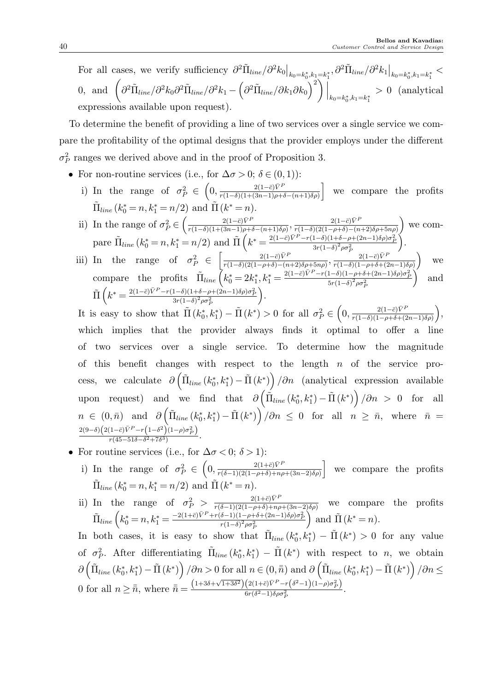For all cases, we verify sufficiency  $\frac{\partial^2 \tilde{\Pi}_{line}/\partial^2 k_0|_{k_0=k_0^*,k_1=k_1^*}}{\partial^2 \tilde{\Pi}_{line}/\partial^2 k_1|_{k_0=k_0^*,k_1=k_1^*}} <$  $0,\ \ {\rm and}\ \ \left(\partial^2 \tilde\Pi_{line}/\partial^2 k_0 \partial^2 \tilde\Pi_{line}/\partial^2 k_1 - \left(\partial^2 \tilde\Pi_{line}/\partial k_1 \partial k_0\right)^2\right)\Bigg|_{k_0=k_0^*,k_1=k_1^*}$ > 0 (analytical expressions available upon request).

To determine the benefit of providing a line of two services over a single service we compare the profitability of the optimal designs that the provider employs under the different  $\sigma_P^2$  ranges we derived above and in the proof of Proposition 3.

- For non-routine services (i.e., for  $\Delta \sigma > 0$ ;  $\delta \in (0,1)$ ):
	- i) In the range of  $\sigma_P^2 \in \left(0, \frac{2(1-\bar{c})\bar{V}^F}{r(1-\delta)(1+(3n-1)\rho + \sigma^2)}\right)$  $\frac{2(1-\bar{c})\bar{V}^P}{r(1-\delta)(1+(3n-1)\rho+\delta-(n+1)\delta\rho)}$  we compare the profits  $\tilde{\Pi}_{line}(k_0^* = n, k_1^* = n/2)$  and  $\tilde{\Pi}(k^* = n)$ .
	- ii) In the range of  $\sigma_P^2 \in \left(\frac{2(1-\bar{c})\bar{V}^F}{r(1-\delta)(1+(3n-1)\rho + \delta)}\right)$  $\frac{2(1-\bar{c})\bar{V}^P}{r(1-\delta)(1+(3n-1)\rho+\delta-(n+1)\delta\rho)}, \frac{2(1-\bar{c})\bar{V}^P}{r(1-\delta)(2(1-\rho+\delta)-(n+\delta))}$  $\frac{2(1-\bar{c})\bar{V}^P}{r(1-\delta)(2(1-\rho+\delta)-(n+2)\delta\rho+5n\rho)}$  we compare  $\tilde{\Pi}_{line}(k_0^* = n, k_1^* = n/2)$  and  $\tilde{\Pi}\left(k^* = \frac{2(1-\bar{c})\bar{V}^P - r(1-\delta)(1+\delta - \rho + (2n-1)\delta\rho)\sigma_P^2}{3r(1-\delta)^2\rho\sigma_P^2}\right)$ ).
	- iii) In the range of  $\sigma_P^2 \in \left[\frac{2(1-\bar{c})\bar{V}^F}{r(1-\delta)(2(1-\rho+\delta)-(n+\rho))}\right]$  $\frac{2(1-\bar{c})\bar{V}^P}{r(1-\delta)(2(1-\rho+\delta)-(n+2)\delta\rho+5n\rho)}, \frac{2(1-\bar{c})\bar{V}^P}{r(1-\delta)(1-\rho+\delta+(2-\rho+\delta))}$  $\frac{2(1-\bar{c})\bar{V}^P}{r(1-\delta)(1-\rho+\delta+(2n-1)\delta\rho)}$  we compare the profits  $\tilde{\Pi}_{line} \left( k_0^* = 2k_1^*, k_1^* = \frac{2(1-\bar{c})\bar{V}^P - r(1-\delta)(1-\rho+\delta+(2n-1)\delta\rho)\sigma_P^2}{5r(1-\delta)^2\rho\sigma_P^2} \right)$  $\int$  and  $\tilde{\Pi}\left(k^*=\frac{2(1-\bar{c})\bar{V}^P-r(1-\delta)(1+\delta-\rho+(2n-1)\delta\rho)\sigma_P^2}{3r(1-\delta)^2\rho\sigma_P^2}\right)$ .

It is easy to show that  $\tilde{\Pi}(k_0^*, k_1^*) - \tilde{\Pi}(k^*) > 0$  for all  $\sigma_P^2 \in \left(0, \frac{2(1-\bar{c})\bar{V}^P}{r(1-\delta)(1-\sigma+\delta+(2n-1)\delta\alpha)}\right)$  $\sigma_0^*, k_1^*$  –  $\Pi(k^*) > 0$  for all  $\sigma_P^2 \in \left(0, \frac{2(1-c)V^2}{r(1-\delta)(1-\rho+\delta+(2n-1)\delta\rho)}\right)$ which implies that the provider always finds it optimal to offer a line of two services over a single service. To determine how the magnitude of this benefit changes with respect to the length  $n$  of the service process, we calculate  $\partial \left( \tilde{\Pi}_{line}(k_0^*, k_1^*) - \tilde{\Pi}(k^*) \right) / \partial n$  (analytical expression available upon request) and we find that  $\partial \left( \tilde{\Pi}_{line}(k_0^*, k_1^*) - \tilde{\Pi}(k^*) \right) / \partial n > 0$  for all  $n\; \in\; (0, \bar n) \;\;\text{ and }\;\; \partial\left(\tilde\Pi_{line}\left(k_0^*, k_1^*\right) - \tilde\Pi\left(k^*\right)\right)/\partial n \;\leq \; 0 \;\;\text{ for all }\; n\; \geq \; \bar n, \;\; \text{where }\; \bar n \;=\; 0.$  $2(9-\delta)\left(2(1-\bar{c})\bar{V}^P-r\left(1-\delta^2\right)(1-\rho)\sigma_P^2\right)$  $\frac{r(45-51\delta-\delta^2+7\delta^3)}{r(45-51\delta-\delta^2+7\delta^3)}$ .

- For routine services (i.e., for  $\Delta \sigma < 0$ ;  $\delta > 1$ ):
	- i) In the range of  $\sigma_P^2 \in \left(0, \frac{2(1+\bar{c})\bar{V}^F}{r(\delta-1)(2(1-\rho+\delta)+n\rho)}\right)$  $\frac{2(1+\bar{c})\bar{V}^P}{r(\delta-1)(2(1-\rho+\delta)+n\rho+(3n-2)\delta\rho)}$  we compare the profits  $\tilde{\Pi}_{line}(k_0^* = n, k_1^* = n/2)$  and  $\tilde{\Pi}(k^* = n)$ .
	- ii) In the range of  $\sigma_P^2 > \frac{2(1+\bar{c})\bar{V}^P}{r(\delta-1)(2(1-\rho+\delta)+n\rho+(3n-2)\delta\rho)}$  we compare the profits  $\tilde{\Pi}_{line}\left(k_0^*=n,k_1^*=\frac{-2(1+\bar{c})\bar{V}^P+r(\delta-1)(1-\rho+\delta+(2n-1)\delta\rho)\sigma_P^2}{r(1-\delta)^2\rho\sigma_P^2}\right.$ ) and  $\tilde{\Pi} (k^* = n)$ .

In both cases, it is easy to show that  $\tilde{\Pi}_{line}(k_0^*, k_1^*) - \tilde{\Pi}(k^*) > 0$  for any value of  $\sigma_P^2$ . After differentiating  $\tilde{\Pi}_{line}(k_0^*, k_1^*) - \tilde{\Pi}(k^*)$  with respect to n, we obtain  $\partial\left(\tilde{\Pi}_{line}\left(k_{0}^{*},k_{1}^{*}\right)-\tilde{\Pi}\left(k^{*}\right)\right)/\partial n>0\;\text{for all}\;n\in(0,\bar{\bar{n}})\;\text{and}\;\partial\left(\tilde{\Pi}_{line}\left(k_{0}^{*},k_{1}^{*}\right)-\tilde{\Pi}\left(k^{*}\right)\right)/\partial n\leq$ 0 for all  $n \geq \bar{n}$ , where  $\bar{n} = \frac{(1+3\delta+\sqrt{1+3\delta^2})(2(1+\bar{c})\bar{V}^P - r(\delta^2-1)(1-\rho)\sigma_P^2)}{6r(\delta^2-1)\delta\sigma^2}$  $\frac{\left(2(1+\epsilon)\gamma-\gamma\left(6-1\right)(1-\rho)\sigma_P\right)}{6r(\delta^2-1)\delta\rho\sigma_P^2}.$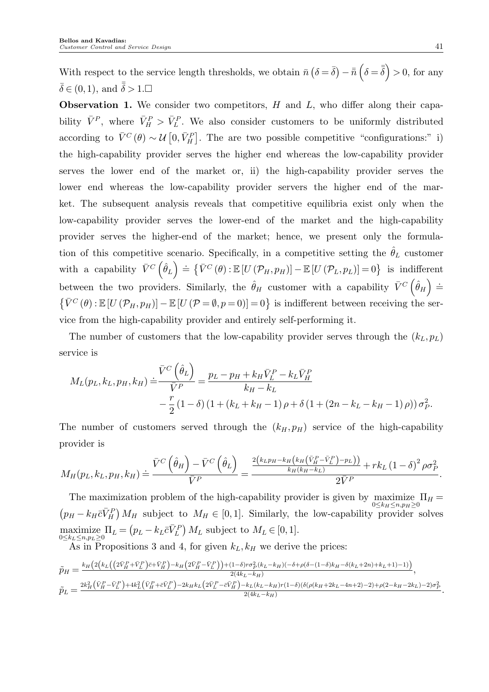With respect to the service length thresholds, we obtain  $\bar{n}(\delta = \bar{\delta}) - \bar{\bar{n}}(\delta = \bar{\bar{\delta}}) > 0$ , for any  $\overline{\delta} \in (0,1)$ , and  $\overline{\overline{\delta}} > 1$ .

**Observation 1.** We consider two competitors,  $H$  and  $L$ , who differ along their capability  $\bar{V}^P$ , where  $\bar{V}^P_H > \bar{V}^P_L$ . We also consider customers to be uniformly distributed according to  $\bar{V}^C(\theta) \sim \mathcal{U}\left[0, \bar{V}_H^P\right]$ . The are two possible competitive "configurations:" i) the high-capability provider serves the higher end whereas the low-capability provider serves the lower end of the market or, ii) the high-capability provider serves the lower end whereas the low-capability provider servers the higher end of the market. The subsequent analysis reveals that competitive equilibria exist only when the low-capability provider serves the lower-end of the market and the high-capability provider serves the higher-end of the market; hence, we present only the formulation of this competitive scenario. Specifically, in a competitive setting the  $\hat{\theta}_L$  customer with a capability  $\bar{V}^C(\hat{\theta}_L) \doteq \{ \bar{V}^C(\theta) : \mathbb{E}[U(\mathcal{P}_H, p_H)] - \mathbb{E}[U(\mathcal{P}_L, p_L)] = 0 \}$  is indifferent between the two providers. Similarly, the  $\hat{\theta}_H$  customer with a capability  $\bar{V}^C(\hat{\theta}_H)$  =  $\{\bar{V}^C(\theta): \mathbb{E}[U(\mathcal{P}_H, p_H)] - \mathbb{E}[U(\mathcal{P}=\emptyset, p=0)] = 0\}$  is indifferent between receiving the service from the high-capability provider and entirely self-performing it.

The number of customers that the low-capability provider serves through the  $(k_L, p_L)$ service is

$$
M_L(p_L, k_L, p_H, k_H) \doteq \frac{\bar{V}^C \left(\hat{\theta}_L\right)}{\bar{V}^P} = \frac{p_L - p_H + k_H \bar{V}_L^P - k_L \bar{V}_H^P}{k_H - k_L} - \frac{r}{2} \left(1 - \delta\right) \left(1 + \left(k_L + k_H - 1\right) \rho + \delta\left(1 + \left(2n - k_L - k_H - 1\right) \rho\right)\right) \sigma_P^2.
$$

The number of customers served through the  $(k_H, p_H)$  service of the high-capability provider is

$$
M_H(p_L, k_L, p_H, k_H) \doteq \frac{\bar{V}^C\left(\hat{\theta}_H\right) - \bar{V}^C\left(\hat{\theta}_L\right)}{\bar{V}^P} = \frac{\frac{2\left(k_L p_H - k_H \left(k_H \left(\bar{V}_H^P - \bar{V}_L^P\right) - p_L\right)\right)}{k_H \left(k_H - k_L\right)} + r k_L \left(1 - \delta\right)^2 \rho \sigma_P^2}{2\bar{V}^P}.
$$

The maximization problem of the high-capability provider is given by  $\max_{n=1}^{\infty} \Pi_H =$  $0\leq k_H\leq n,p_H\geq 0$  $(p_H - k_H \bar{c} \bar{V}_H^P) M_H$  subject to  $M_H \in [0, 1]$ . Similarly, the low-capability provider solves maximize  $\Pi_L = (p_L - k_L \bar{c} \bar{V}_L^P) M_L$  subject to  $M_L \in [0, 1]$ .

As in Propositions 3 and 4, for given  $k_L, k_H$  we derive the prices:

$$
\tilde{p}_{H} = \frac{k_{H}\left(2\left(k_{L}\left(\left(2\bar{V}_{H}^{P} + \bar{V}_{L}^{P}\right)\bar{c} + \bar{V}_{H}^{P}\right) - k_{H}\left(2\bar{V}_{H}^{P} - \bar{V}_{L}^{P}\right)\right) + (1-\delta)r\sigma_{P}^{2}(k_{L} - k_{H})(-\delta + \rho(\delta - (1-\delta)k_{H} - \delta(k_{L} + 2n) + k_{L} + 1) - 1)\right)}{2(4k_{L} - k_{H})},
$$
\n
$$
\tilde{p}_{L} = \frac{2k_{H}^{2}\left(\bar{V}_{H}^{P} - \bar{V}_{L}^{P}\right) + 4k_{L}^{2}\left(\bar{V}_{H}^{P} + \bar{c}\bar{V}_{L}^{P}\right) - 2k_{H}k_{L}\left(2\bar{V}_{L}^{P} - \bar{c}\bar{V}_{H}^{P}\right) - k_{L}(k_{L} - k_{H})r(1-\delta)(\delta(\rho(k_{H} + 2k_{L} - 4n + 2) - 2) + \rho(2 - k_{H} - 2k_{L}) - 2)\sigma_{P}^{2}}{2(4k_{L} - k_{H})}.
$$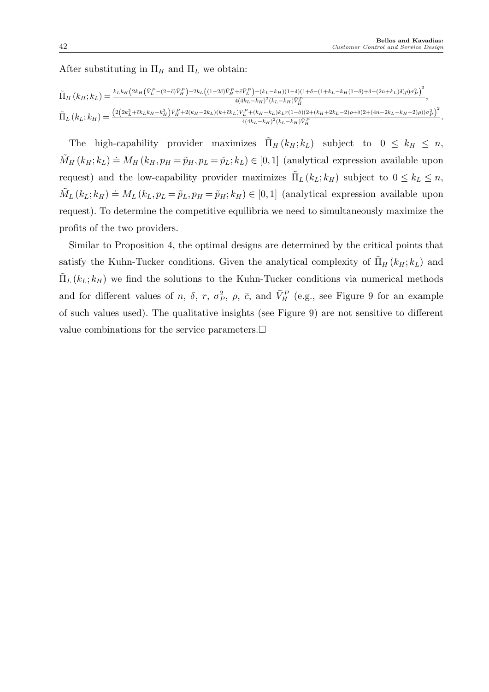# After substituting in  $\Pi_H$  and  $\Pi_L$  we obtain:

$$
\tilde{\Pi}_{H}(k_{H};k_{L}) = \frac{k_{L}k_{H}\left(2k_{H}\left(\bar{V}_{L}^{P}-(2-\bar{c})\bar{V}_{H}^{P}\right)+2k_{L}\left((1-2\bar{c})\bar{V}_{H}^{P}+\bar{c}\bar{V}_{L}^{P}\right)-\left(k_{L}-k_{H}\right)(1-\delta)(1+\delta-(1+k_{L}-k_{H}(1-\delta)+\delta-(2n+k_{L})\delta)\rho)\sigma_{P}^{2}\right)^{2}}{4(4k_{L}-k_{H})^{2}(k_{L}-k_{H})\bar{V}_{H}^{P}},
$$
\n
$$
\tilde{\Pi}_{L}(k_{L};k_{H}) = \frac{\left(2\left(2k_{L}^{2}+\bar{c}k_{L}k_{H}-k_{H}^{2}\right)\bar{V}_{H}^{P}+2(k_{H}-2k_{L})(k+\bar{c}k_{L})V_{L}^{P}+(k_{H}-k_{L})k_{L}r(1-\delta)(2+(k_{H}+2k_{L}-2)\rho+\delta(2+(4n-2k_{L}-k_{H}-2)\rho))\sigma_{P}^{2}\right)^{2}}{4(4k_{L}-k_{H})^{2}(k_{L}-k_{H})\bar{V}_{H}^{P}}.
$$

The high-capability provider maximizes  $\tilde{\Pi}_H(k_H; k_L)$  subject to  $0 \leq k_H \leq n$ ,  $\tilde{M}_H(k_H; k_L) \doteq M_H(k_H, p_H = \tilde{p}_H, p_L = \tilde{p}_L; k_L) \in [0, 1]$  (analytical expression available upon request) and the low-capability provider maximizes  $\tilde{\Pi}_L(k_L; k_H)$  subject to  $0 \leq k_L \leq n$ ,  $\tilde{M}_L(k_L; k_H) \doteq M_L(k_L, p_L = \tilde{p}_L, p_H = \tilde{p}_H; k_H) \in [0, 1]$  (analytical expression available upon request). To determine the competitive equilibria we need to simultaneously maximize the profits of the two providers.

Similar to Proposition 4, the optimal designs are determined by the critical points that satisfy the Kuhn-Tucker conditions. Given the analytical complexity of  $\tilde{\Pi}_H(k_H;k_L)$  and  $\tilde{\Pi}_L(k_L; k_H)$  we find the solutions to the Kuhn-Tucker conditions via numerical methods and for different values of n,  $\delta$ , r,  $\sigma_P^2$ ,  $\rho$ ,  $\bar{c}$ , and  $\bar{V}_H^P$  (e.g., see Figure 9 for an example of such values used). The qualitative insights (see Figure 9) are not sensitive to different value combinations for the service parameters.  $\Box$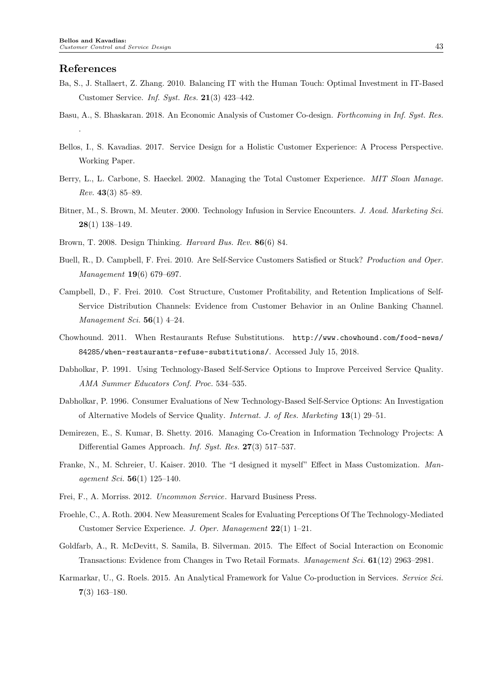#### References

- Ba, S., J. Stallaert, Z. Zhang. 2010. Balancing IT with the Human Touch: Optimal Investment in IT-Based Customer Service. Inf. Syst. Res. 21(3) 423–442.
- Basu, A., S. Bhaskaran. 2018. An Economic Analysis of Customer Co-design. Forthcoming in Inf. Syst. Res. .
- Bellos, I., S. Kavadias. 2017. Service Design for a Holistic Customer Experience: A Process Perspective. Working Paper.
- Berry, L., L. Carbone, S. Haeckel. 2002. Managing the Total Customer Experience. MIT Sloan Manage. Rev. 43(3) 85–89.
- Bitner, M., S. Brown, M. Meuter. 2000. Technology Infusion in Service Encounters. J. Acad. Marketing Sci. 28(1) 138–149.
- Brown, T. 2008. Design Thinking. Harvard Bus. Rev. 86(6) 84.
- Buell, R., D. Campbell, F. Frei. 2010. Are Self-Service Customers Satisfied or Stuck? Production and Oper. Management 19(6) 679–697.
- Campbell, D., F. Frei. 2010. Cost Structure, Customer Profitability, and Retention Implications of Self-Service Distribution Channels: Evidence from Customer Behavior in an Online Banking Channel. Management Sci.  $56(1)$  4–24.
- Chowhound. 2011. When Restaurants Refuse Substitutions. http://www.chowhound.com/food-news/ 84285/when-restaurants-refuse-substitutions/. Accessed July 15, 2018.
- Dabholkar, P. 1991. Using Technology-Based Self-Service Options to Improve Perceived Service Quality. AMA Summer Educators Conf. Proc. 534–535.
- Dabholkar, P. 1996. Consumer Evaluations of New Technology-Based Self-Service Options: An Investigation of Alternative Models of Service Quality. Internat. J. of Res. Marketing 13(1) 29–51.
- Demirezen, E., S. Kumar, B. Shetty. 2016. Managing Co-Creation in Information Technology Projects: A Differential Games Approach. *Inf. Syst. Res.* 27(3) 517–537.
- Franke, N., M. Schreier, U. Kaiser. 2010. The "I designed it myself" Effect in Mass Customization. Management Sci. 56(1)  $125-140$ .
- Frei, F., A. Morriss. 2012. Uncommon Service. Harvard Business Press.
- Froehle, C., A. Roth. 2004. New Measurement Scales for Evaluating Perceptions Of The Technology-Mediated Customer Service Experience. J. Oper. Management 22(1) 1–21.
- Goldfarb, A., R. McDevitt, S. Samila, B. Silverman. 2015. The Effect of Social Interaction on Economic Transactions: Evidence from Changes in Two Retail Formats. Management Sci. 61(12) 2963–2981.
- Karmarkar, U., G. Roels. 2015. An Analytical Framework for Value Co-production in Services. Service Sci. 7(3) 163–180.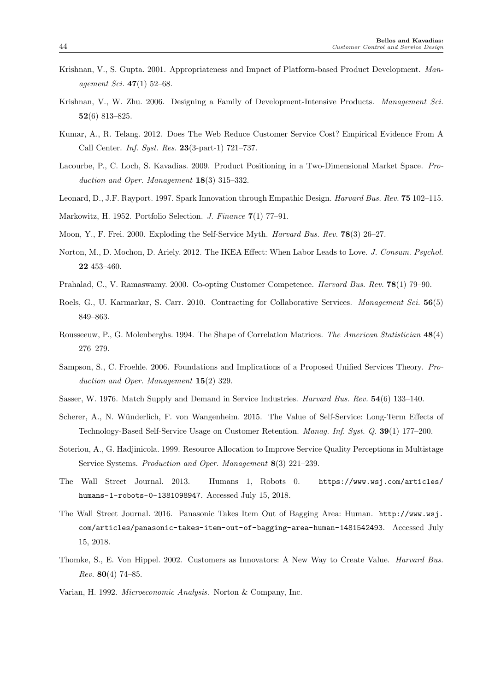- Krishnan, V., S. Gupta. 2001. Appropriateness and Impact of Platform-based Product Development. Management Sci. 47(1) 52–68.
- Krishnan, V., W. Zhu. 2006. Designing a Family of Development-Intensive Products. Management Sci. 52(6) 813–825.
- Kumar, A., R. Telang. 2012. Does The Web Reduce Customer Service Cost? Empirical Evidence From A Call Center. Inf. Syst. Res. 23(3-part-1) 721–737.
- Lacourbe, P., C. Loch, S. Kavadias. 2009. Product Positioning in a Two-Dimensional Market Space. Production and Oper. Management **18**(3) 315–332.
- Leonard, D., J.F. Rayport. 1997. Spark Innovation through Empathic Design. Harvard Bus. Rev. 75 102–115.
- Markowitz, H. 1952. Portfolio Selection. J. Finance 7(1) 77–91.
- Moon, Y., F. Frei. 2000. Exploding the Self-Service Myth. Harvard Bus. Rev. 78(3) 26–27.
- Norton, M., D. Mochon, D. Ariely. 2012. The IKEA Effect: When Labor Leads to Love. J. Consum. Psychol. 22 453–460.
- Prahalad, C., V. Ramaswamy. 2000. Co-opting Customer Competence. Harvard Bus. Rev. 78(1) 79–90.
- Roels, G., U. Karmarkar, S. Carr. 2010. Contracting for Collaborative Services. Management Sci. 56(5) 849–863.
- Rousseeuw, P., G. Molenberghs. 1994. The Shape of Correlation Matrices. The American Statistician 48(4) 276–279.
- Sampson, S., C. Froehle. 2006. Foundations and Implications of a Proposed Unified Services Theory. Production and Oper. Management 15(2) 329.
- Sasser, W. 1976. Match Supply and Demand in Service Industries. Harvard Bus. Rev. 54(6) 133–140.
- Scherer, A., N. Wünderlich, F. von Wangenheim. 2015. The Value of Self-Service: Long-Term Effects of Technology-Based Self-Service Usage on Customer Retention. Manag. Inf. Syst. Q. 39(1) 177–200.
- Soteriou, A., G. Hadjinicola. 1999. Resource Allocation to Improve Service Quality Perceptions in Multistage Service Systems. Production and Oper. Management 8(3) 221–239.
- The Wall Street Journal. 2013. Humans 1, Robots 0. https://www.wsj.com/articles/ humans-1-robots-0-1381098947. Accessed July 15, 2018.
- The Wall Street Journal. 2016. Panasonic Takes Item Out of Bagging Area: Human. http://www.wsj. com/articles/panasonic-takes-item-out-of-bagging-area-human-1481542493. Accessed July 15, 2018.
- Thomke, S., E. Von Hippel. 2002. Customers as Innovators: A New Way to Create Value. Harvard Bus. Rev.  $80(4)$  74–85.
- Varian, H. 1992. Microeconomic Analysis. Norton & Company, Inc.